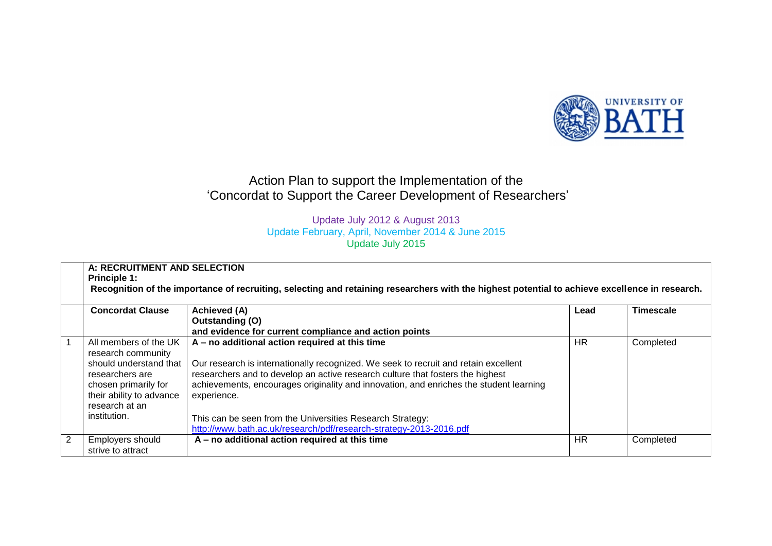

## Action Plan to support the Implementation of the 'Concordat to Support the Career Development of Researchers'

## Update July 2012 & August 2013 Update February, April, November 2014 & June 2015 Update July 2015

|                | A: RECRUITMENT AND SELECTION<br><b>Principle 1:</b><br>Recognition of the importance of recruiting, selecting and retaining researchers with the highest potential to achieve excellence in research. |                                                                                                                                                                                                                                                                                                                                  |           |           |  |
|----------------|-------------------------------------------------------------------------------------------------------------------------------------------------------------------------------------------------------|----------------------------------------------------------------------------------------------------------------------------------------------------------------------------------------------------------------------------------------------------------------------------------------------------------------------------------|-----------|-----------|--|
|                | <b>Concordat Clause</b>                                                                                                                                                                               | <b>Achieved (A)</b>                                                                                                                                                                                                                                                                                                              | Lead      | Timescale |  |
|                |                                                                                                                                                                                                       | Outstanding (O)                                                                                                                                                                                                                                                                                                                  |           |           |  |
|                |                                                                                                                                                                                                       | and evidence for current compliance and action points                                                                                                                                                                                                                                                                            |           |           |  |
|                | All members of the UK<br>research community<br>should understand that<br>researchers are<br>chosen primarily for<br>their ability to advance<br>research at an<br>institution.                        | A - no additional action required at this time<br>Our research is internationally recognized. We seek to recruit and retain excellent<br>researchers and to develop an active research culture that fosters the highest<br>achievements, encourages originality and innovation, and enriches the student learning<br>experience. | HR.       | Completed |  |
|                |                                                                                                                                                                                                       | This can be seen from the Universities Research Strategy:<br>http://www.bath.ac.uk/research/pdf/research-strategy-2013-2016.pdf                                                                                                                                                                                                  |           |           |  |
| $\overline{2}$ | Employers should<br>strive to attract                                                                                                                                                                 | A – no additional action required at this time                                                                                                                                                                                                                                                                                   | <b>HR</b> | Completed |  |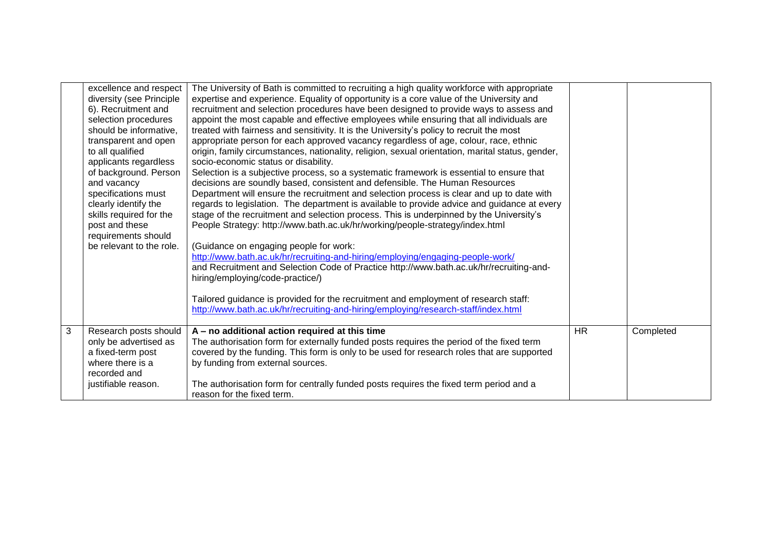|   | excellence and respect<br>diversity (see Principle<br>6). Recruitment and<br>selection procedures<br>should be informative,<br>transparent and open<br>to all qualified<br>applicants regardless<br>of background. Person<br>and vacancy<br>specifications must<br>clearly identify the<br>skills required for the<br>post and these<br>requirements should<br>be relevant to the role. | The University of Bath is committed to recruiting a high quality workforce with appropriate<br>expertise and experience. Equality of opportunity is a core value of the University and<br>recruitment and selection procedures have been designed to provide ways to assess and<br>appoint the most capable and effective employees while ensuring that all individuals are<br>treated with fairness and sensitivity. It is the University's policy to recruit the most<br>appropriate person for each approved vacancy regardless of age, colour, race, ethnic<br>origin, family circumstances, nationality, religion, sexual orientation, marital status, gender,<br>socio-economic status or disability.<br>Selection is a subjective process, so a systematic framework is essential to ensure that<br>decisions are soundly based, consistent and defensible. The Human Resources<br>Department will ensure the recruitment and selection process is clear and up to date with<br>regards to legislation. The department is available to provide advice and guidance at every<br>stage of the recruitment and selection process. This is underpinned by the University's<br>People Strategy: http://www.bath.ac.uk/hr/working/people-strategy/index.html<br>(Guidance on engaging people for work:<br>http://www.bath.ac.uk/hr/recruiting-and-hiring/employing/engaging-people-work/<br>and Recruitment and Selection Code of Practice http://www.bath.ac.uk/hr/recruiting-and-<br>hiring/employing/code-practice/)<br>Tailored guidance is provided for the recruitment and employment of research staff:<br>http://www.bath.ac.uk/hr/recruiting-and-hiring/employing/research-staff/index.html |           |           |
|---|-----------------------------------------------------------------------------------------------------------------------------------------------------------------------------------------------------------------------------------------------------------------------------------------------------------------------------------------------------------------------------------------|-------------------------------------------------------------------------------------------------------------------------------------------------------------------------------------------------------------------------------------------------------------------------------------------------------------------------------------------------------------------------------------------------------------------------------------------------------------------------------------------------------------------------------------------------------------------------------------------------------------------------------------------------------------------------------------------------------------------------------------------------------------------------------------------------------------------------------------------------------------------------------------------------------------------------------------------------------------------------------------------------------------------------------------------------------------------------------------------------------------------------------------------------------------------------------------------------------------------------------------------------------------------------------------------------------------------------------------------------------------------------------------------------------------------------------------------------------------------------------------------------------------------------------------------------------------------------------------------------------------------------------------------------------------------------------------------------------|-----------|-----------|
| 3 | Research posts should<br>only be advertised as<br>a fixed-term post<br>where there is a<br>recorded and<br>justifiable reason.                                                                                                                                                                                                                                                          | A - no additional action required at this time<br>The authorisation form for externally funded posts requires the period of the fixed term<br>covered by the funding. This form is only to be used for research roles that are supported<br>by funding from external sources.<br>The authorisation form for centrally funded posts requires the fixed term period and a<br>reason for the fixed term.                                                                                                                                                                                                                                                                                                                                                                                                                                                                                                                                                                                                                                                                                                                                                                                                                                                                                                                                                                                                                                                                                                                                                                                                                                                                                                 | <b>HR</b> | Completed |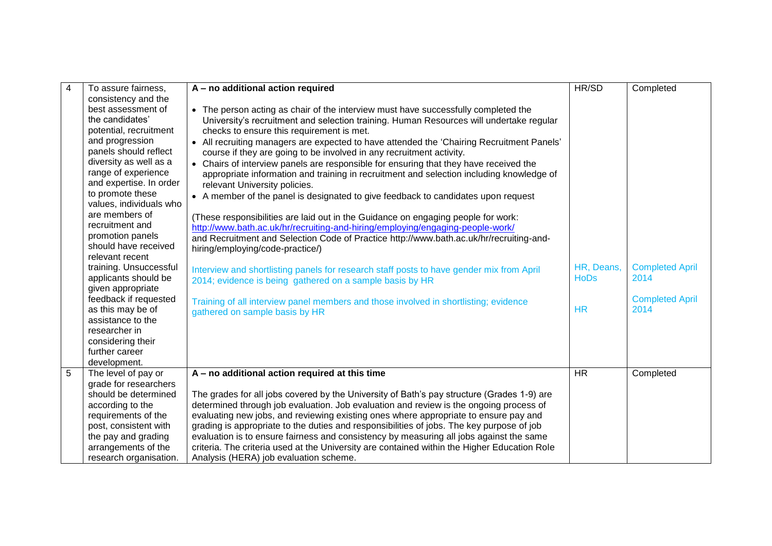| $\overline{\mathbf{4}}$ | To assure fairness,                 | A - no additional action required                                                            | HR/SD       | Completed              |
|-------------------------|-------------------------------------|----------------------------------------------------------------------------------------------|-------------|------------------------|
|                         | consistency and the                 |                                                                                              |             |                        |
|                         | best assessment of                  | • The person acting as chair of the interview must have successfully completed the           |             |                        |
|                         | the candidates'                     | University's recruitment and selection training. Human Resources will undertake regular      |             |                        |
|                         | potential, recruitment              | checks to ensure this requirement is met.                                                    |             |                        |
|                         | and progression                     | • All recruiting managers are expected to have attended the 'Chairing Recruitment Panels'    |             |                        |
|                         | panels should reflect               | course if they are going to be involved in any recruitment activity.                         |             |                        |
|                         | diversity as well as a              | • Chairs of interview panels are responsible for ensuring that they have received the        |             |                        |
|                         | range of experience                 | appropriate information and training in recruitment and selection including knowledge of     |             |                        |
|                         | and expertise. In order             | relevant University policies.                                                                |             |                        |
|                         | to promote these                    | • A member of the panel is designated to give feedback to candidates upon request            |             |                        |
|                         | values, individuals who             |                                                                                              |             |                        |
|                         | are members of                      | (These responsibilities are laid out in the Guidance on engaging people for work:            |             |                        |
|                         | recruitment and                     | http://www.bath.ac.uk/hr/recruiting-and-hiring/employing/engaging-people-work/               |             |                        |
|                         | promotion panels                    | and Recruitment and Selection Code of Practice http://www.bath.ac.uk/hr/recruiting-and-      |             |                        |
|                         | should have received                | hiring/employing/code-practice/)                                                             |             |                        |
|                         | relevant recent                     |                                                                                              |             |                        |
|                         | training. Unsuccessful              | Interview and shortlisting panels for research staff posts to have gender mix from April     | HR, Deans,  | <b>Completed April</b> |
|                         | applicants should be                | 2014; evidence is being gathered on a sample basis by HR                                     | <b>HoDs</b> | 2014                   |
|                         | given appropriate                   |                                                                                              |             |                        |
|                         | feedback if requested               | Training of all interview panel members and those involved in shortlisting; evidence         |             | <b>Completed April</b> |
|                         | as this may be of                   | gathered on sample basis by HR                                                               | <b>HR</b>   | 2014                   |
|                         | assistance to the                   |                                                                                              |             |                        |
|                         | researcher in                       |                                                                                              |             |                        |
|                         | considering their<br>further career |                                                                                              |             |                        |
|                         | development.                        |                                                                                              |             |                        |
| 5                       | The level of pay or                 | A - no additional action required at this time                                               | <b>HR</b>   | Completed              |
|                         | grade for researchers               |                                                                                              |             |                        |
|                         | should be determined                | The grades for all jobs covered by the University of Bath's pay structure (Grades 1-9) are   |             |                        |
|                         | according to the                    | determined through job evaluation. Job evaluation and review is the ongoing process of       |             |                        |
|                         | requirements of the                 | evaluating new jobs, and reviewing existing ones where appropriate to ensure pay and         |             |                        |
|                         | post, consistent with               | grading is appropriate to the duties and responsibilities of jobs. The key purpose of job    |             |                        |
|                         | the pay and grading                 | evaluation is to ensure fairness and consistency by measuring all jobs against the same      |             |                        |
|                         | arrangements of the                 | criteria. The criteria used at the University are contained within the Higher Education Role |             |                        |
|                         | research organisation.              | Analysis (HERA) job evaluation scheme.                                                       |             |                        |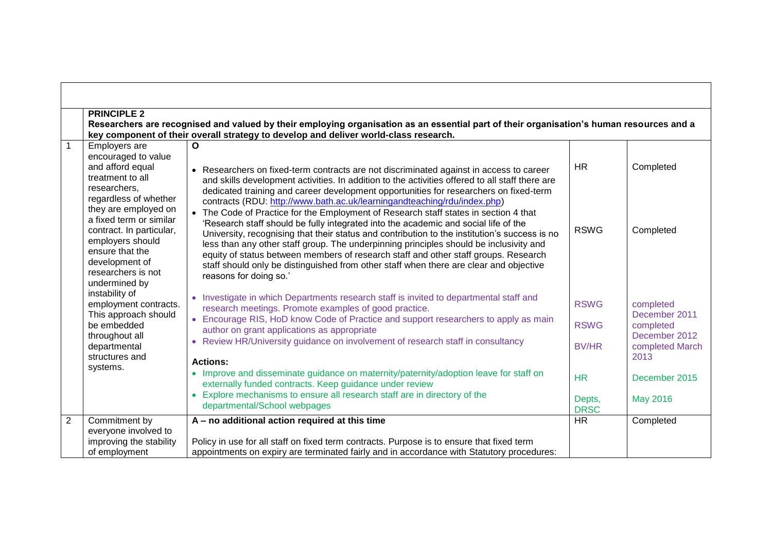|              | <b>PRINCIPLE 2</b>                                                                                                                                                                                                                                                                                   |                                                                                                                                                                                                                                                                                                                                                                                                                                                                                                                                                                                                                                                                                                                                                                                                                                                                                                                                                       |                                                                                  |                                                                                                                         |  |
|--------------|------------------------------------------------------------------------------------------------------------------------------------------------------------------------------------------------------------------------------------------------------------------------------------------------------|-------------------------------------------------------------------------------------------------------------------------------------------------------------------------------------------------------------------------------------------------------------------------------------------------------------------------------------------------------------------------------------------------------------------------------------------------------------------------------------------------------------------------------------------------------------------------------------------------------------------------------------------------------------------------------------------------------------------------------------------------------------------------------------------------------------------------------------------------------------------------------------------------------------------------------------------------------|----------------------------------------------------------------------------------|-------------------------------------------------------------------------------------------------------------------------|--|
|              |                                                                                                                                                                                                                                                                                                      | Researchers are recognised and valued by their employing organisation as an essential part of their organisation's human resources and a                                                                                                                                                                                                                                                                                                                                                                                                                                                                                                                                                                                                                                                                                                                                                                                                              |                                                                                  |                                                                                                                         |  |
|              |                                                                                                                                                                                                                                                                                                      | key component of their overall strategy to develop and deliver world-class research.                                                                                                                                                                                                                                                                                                                                                                                                                                                                                                                                                                                                                                                                                                                                                                                                                                                                  |                                                                                  |                                                                                                                         |  |
|              | Employers are<br>encouraged to value<br>and afford equal<br>treatment to all<br>researchers,<br>regardless of whether<br>they are employed on<br>a fixed term or similar<br>contract. In particular,<br>employers should<br>ensure that the<br>development of<br>researchers is not<br>undermined by | O<br>Researchers on fixed-term contracts are not discriminated against in access to career<br>and skills development activities. In addition to the activities offered to all staff there are<br>dedicated training and career development opportunities for researchers on fixed-term<br>contracts (RDU: http://www.bath.ac.uk/learningandteaching/rdu/index.php)<br>The Code of Practice for the Employment of Research staff states in section 4 that<br>'Research staff should be fully integrated into the academic and social life of the<br>University, recognising that their status and contribution to the institution's success is no<br>less than any other staff group. The underpinning principles should be inclusivity and<br>equity of status between members of research staff and other staff groups. Research<br>staff should only be distinguished from other staff when there are clear and objective<br>reasons for doing so.' | <b>HR</b><br><b>RSWG</b>                                                         | Completed<br>Completed                                                                                                  |  |
|              | instability of<br>employment contracts.<br>This approach should<br>be embedded<br>throughout all<br>departmental<br>structures and<br>systems.                                                                                                                                                       | • Investigate in which Departments research staff is invited to departmental staff and<br>research meetings. Promote examples of good practice.<br>• Encourage RIS, HoD know Code of Practice and support researchers to apply as main<br>author on grant applications as appropriate<br>Review HR/University guidance on involvement of research staff in consultancy<br><b>Actions:</b><br>• Improve and disseminate guidance on maternity/paternity/adoption leave for staff on<br>externally funded contracts. Keep guidance under review<br>Explore mechanisms to ensure all research staff are in directory of the<br>$\bullet$<br>departmental/School webpages                                                                                                                                                                                                                                                                                 | <b>RSWG</b><br><b>RSWG</b><br><b>BV/HR</b><br><b>HR</b><br>Depts,<br><b>DRSC</b> | completed<br>December 2011<br>completed<br>December 2012<br>completed March<br>2013<br>December 2015<br><b>May 2016</b> |  |
| $\mathbf{2}$ | Commitment by<br>everyone involved to<br>improving the stability<br>of employment                                                                                                                                                                                                                    | A - no additional action required at this time<br>Policy in use for all staff on fixed term contracts. Purpose is to ensure that fixed term<br>appointments on expiry are terminated fairly and in accordance with Statutory procedures:                                                                                                                                                                                                                                                                                                                                                                                                                                                                                                                                                                                                                                                                                                              | <b>HR</b>                                                                        | Completed                                                                                                               |  |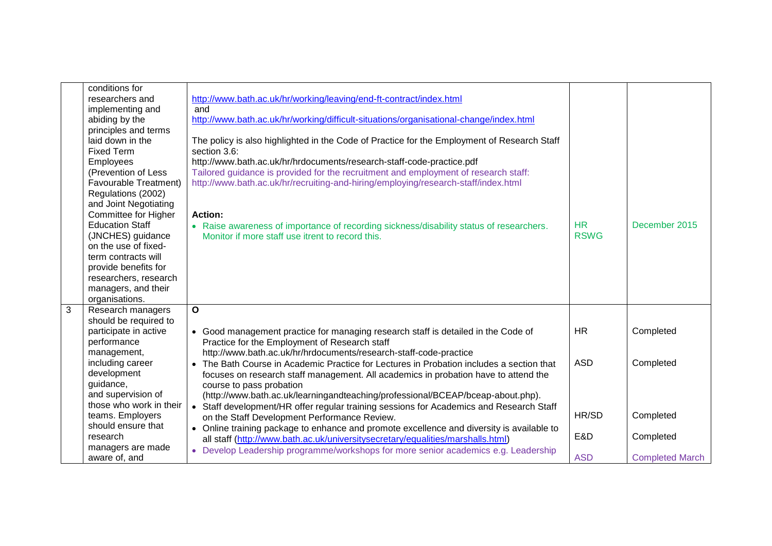|                | conditions for               |                                                                                             |             |                        |
|----------------|------------------------------|---------------------------------------------------------------------------------------------|-------------|------------------------|
|                | researchers and              | http://www.bath.ac.uk/hr/working/leaving/end-ft-contract/index.html                         |             |                        |
|                | implementing and             | and                                                                                         |             |                        |
|                | abiding by the               | http://www.bath.ac.uk/hr/working/difficult-situations/organisational-change/index.html      |             |                        |
|                | principles and terms         |                                                                                             |             |                        |
|                | laid down in the             | The policy is also highlighted in the Code of Practice for the Employment of Research Staff |             |                        |
|                | <b>Fixed Term</b>            | section 3.6:                                                                                |             |                        |
|                | Employees                    | http://www.bath.ac.uk/hr/hrdocuments/research-staff-code-practice.pdf                       |             |                        |
|                | (Prevention of Less          | Tailored guidance is provided for the recruitment and employment of research staff:         |             |                        |
|                | <b>Favourable Treatment)</b> | http://www.bath.ac.uk/hr/recruiting-and-hiring/employing/research-staff/index.html          |             |                        |
|                | Regulations (2002)           |                                                                                             |             |                        |
|                | and Joint Negotiating        |                                                                                             |             |                        |
|                | Committee for Higher         | <b>Action:</b>                                                                              |             |                        |
|                | <b>Education Staff</b>       | • Raise awareness of importance of recording sickness/disability status of researchers.     | <b>HR</b>   | December 2015          |
|                | (JNCHES) guidance            | Monitor if more staff use itrent to record this.                                            | <b>RSWG</b> |                        |
|                | on the use of fixed-         |                                                                                             |             |                        |
|                | term contracts will          |                                                                                             |             |                        |
|                | provide benefits for         |                                                                                             |             |                        |
|                | researchers, research        |                                                                                             |             |                        |
|                | managers, and their          |                                                                                             |             |                        |
|                | organisations.               |                                                                                             |             |                        |
| $\overline{3}$ | Research managers            | $\overline{\mathbf{o}}$                                                                     |             |                        |
|                | should be required to        |                                                                                             |             |                        |
|                | participate in active        | • Good management practice for managing research staff is detailed in the Code of           | <b>HR</b>   | Completed              |
|                | performance                  | Practice for the Employment of Research staff                                               |             |                        |
|                | management,                  | http://www.bath.ac.uk/hr/hrdocuments/research-staff-code-practice                           |             |                        |
|                | including career             | • The Bath Course in Academic Practice for Lectures in Probation includes a section that    | <b>ASD</b>  | Completed              |
|                | development                  | focuses on research staff management. All academics in probation have to attend the         |             |                        |
|                | guidance,                    | course to pass probation                                                                    |             |                        |
|                | and supervision of           | (http://www.bath.ac.uk/learningandteaching/professional/BCEAP/bceap-about.php).             |             |                        |
|                | those who work in their      | • Staff development/HR offer regular training sessions for Academics and Research Staff     |             |                        |
|                | teams. Employers             | on the Staff Development Performance Review.                                                | HR/SD       | Completed              |
|                | should ensure that           | • Online training package to enhance and promote excellence and diversity is available to   |             |                        |
|                | research                     | all staff (http://www.bath.ac.uk/universitysecretary/equalities/marshalls.html)             | E&D         | Completed              |
|                | managers are made            | • Develop Leadership programme/workshops for more senior academics e.g. Leadership          |             |                        |
|                | aware of, and                |                                                                                             | <b>ASD</b>  | <b>Completed March</b> |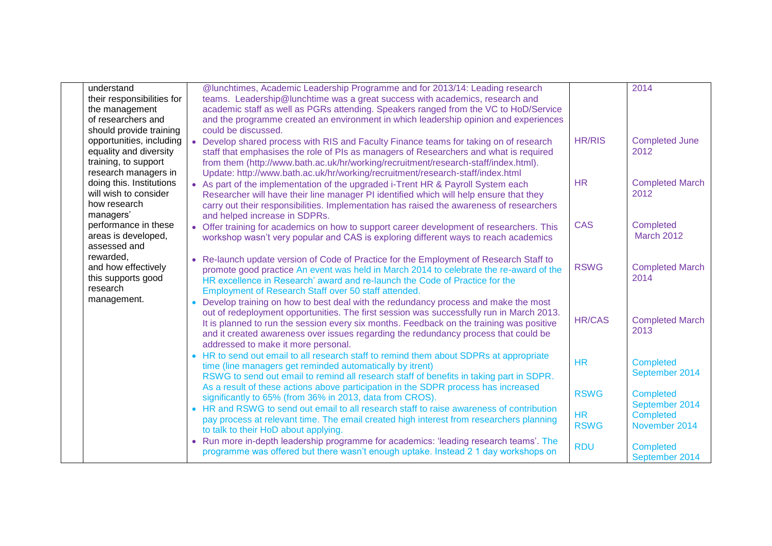| understand                 | @lunchtimes, Academic Leadership Programme and for 2013/14: Leading research                    |               | 2014                           |
|----------------------------|-------------------------------------------------------------------------------------------------|---------------|--------------------------------|
| their responsibilities for | teams. Leadership@lunchtime was a great success with academics, research and                    |               |                                |
| the management             | academic staff as well as PGRs attending. Speakers ranged from the VC to HoD/Service            |               |                                |
| of researchers and         | and the programme created an environment in which leadership opinion and experiences            |               |                                |
| should provide training    | could be discussed.                                                                             |               |                                |
| opportunities, including   | • Develop shared process with RIS and Faculty Finance teams for taking on of research           | <b>HR/RIS</b> | <b>Completed June</b>          |
| equality and diversity     | staff that emphasises the role of PIs as managers of Researchers and what is required           |               | 2012                           |
| training, to support       | from them (http://www.bath.ac.uk/hr/working/recruitment/research-staff/index.html).             |               |                                |
| research managers in       | Update: http://www.bath.ac.uk/hr/working/recruitment/research-staff/index.html                  |               |                                |
| doing this. Institutions   | • As part of the implementation of the upgraded i-Trent HR & Payroll System each                | <b>HR</b>     | <b>Completed March</b>         |
| will wish to consider      | Researcher will have their line manager PI identified which will help ensure that they          |               | 2012                           |
| how research               | carry out their responsibilities. Implementation has raised the awareness of researchers        |               |                                |
| managers'                  | and helped increase in SDPRs.                                                                   |               |                                |
| performance in these       | • Offer training for academics on how to support career development of researchers. This        | <b>CAS</b>    | Completed                      |
| areas is developed,        | workshop wasn't very popular and CAS is exploring different ways to reach academics             |               | <b>March 2012</b>              |
| assessed and               |                                                                                                 |               |                                |
| rewarded,                  | • Re-launch update version of Code of Practice for the Employment of Research Staff to          |               |                                |
| and how effectively        | promote good practice An event was held in March 2014 to celebrate the re-award of the          | <b>RSWG</b>   | <b>Completed March</b>         |
| this supports good         | HR excellence in Research' award and re-launch the Code of Practice for the                     |               | 2014                           |
| research                   | Employment of Research Staff over 50 staff attended.                                            |               |                                |
| management.                | Develop training on how to best deal with the redundancy process and make the most<br>$\bullet$ |               |                                |
|                            | out of redeployment opportunities. The first session was successfully run in March 2013.        | <b>HR/CAS</b> |                                |
|                            | It is planned to run the session every six months. Feedback on the training was positive        |               | <b>Completed March</b><br>2013 |
|                            | and it created awareness over issues regarding the redundancy process that could be             |               |                                |
|                            | addressed to make it more personal.                                                             |               |                                |
|                            | • HR to send out email to all research staff to remind them about SDPRs at appropriate          | <b>HR</b>     | <b>Completed</b>               |
|                            | time (line managers get reminded automatically by itrent)                                       |               | September 2014                 |
|                            | RSWG to send out email to remind all research staff of benefits in taking part in SDPR.         |               |                                |
|                            | As a result of these actions above participation in the SDPR process has increased              | <b>RSWG</b>   | <b>Completed</b>               |
|                            | significantly to 65% (from 36% in 2013, data from CROS).                                        |               | September 2014                 |
|                            | • HR and RSWG to send out email to all research staff to raise awareness of contribution        | <b>HR</b>     | <b>Completed</b>               |
|                            | pay process at relevant time. The email created high interest from researchers planning         | <b>RSWG</b>   | November 2014                  |
|                            | to talk to their HoD about applying.                                                            |               |                                |
|                            | • Run more in-depth leadership programme for academics: 'leading research teams'. The           | <b>RDU</b>    | <b>Completed</b>               |
|                            | programme was offered but there wasn't enough uptake. Instead 2 1 day workshops on              |               | September 2014                 |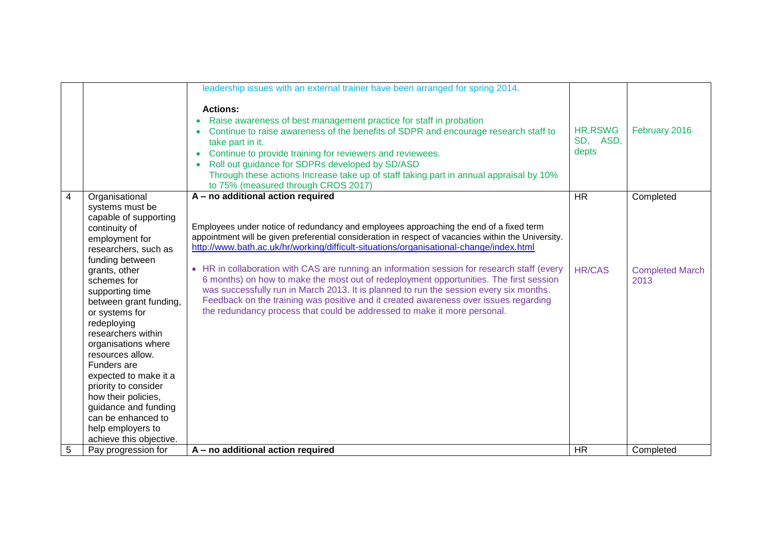|                |                                               | leadership issues with an external trainer have been arranged for spring 2014.                                                                                                                                                                                                                                                                                                                                                                                 |                               |                        |
|----------------|-----------------------------------------------|----------------------------------------------------------------------------------------------------------------------------------------------------------------------------------------------------------------------------------------------------------------------------------------------------------------------------------------------------------------------------------------------------------------------------------------------------------------|-------------------------------|------------------------|
|                |                                               | <b>Actions:</b><br>Raise awareness of best management practice for staff in probation<br>$\bullet$<br>Continue to raise awareness of the benefits of SDPR and encourage research staff to<br>take part in it.<br>Continue to provide training for reviewers and reviewees.<br>Roll out guidance for SDPRs developed by SD/ASD<br>Through these actions Increase take up of staff taking part in annual appraisal by 10%<br>to 75% (measured through CROS 2017) | HR, RSWG<br>SD, ASD,<br>depts | February 2016          |
| $\overline{4}$ | Organisational                                | A - no additional action required                                                                                                                                                                                                                                                                                                                                                                                                                              | $\overline{HR}$               | Completed              |
|                | systems must be                               |                                                                                                                                                                                                                                                                                                                                                                                                                                                                |                               |                        |
|                | capable of supporting<br>continuity of        | Employees under notice of redundancy and employees approaching the end of a fixed term                                                                                                                                                                                                                                                                                                                                                                         |                               |                        |
|                | employment for                                | appointment will be given preferential consideration in respect of vacancies within the University.                                                                                                                                                                                                                                                                                                                                                            |                               |                        |
|                | researchers, such as                          | http://www.bath.ac.uk/hr/working/difficult-situations/organisational-change/index.html                                                                                                                                                                                                                                                                                                                                                                         |                               |                        |
|                | funding between                               |                                                                                                                                                                                                                                                                                                                                                                                                                                                                |                               |                        |
|                | grants, other                                 | • HR in collaboration with CAS are running an information session for research staff (every                                                                                                                                                                                                                                                                                                                                                                    | <b>HR/CAS</b>                 | <b>Completed March</b> |
|                | schemes for                                   | 6 months) on how to make the most out of redeployment opportunities. The first session                                                                                                                                                                                                                                                                                                                                                                         |                               | 2013                   |
|                | supporting time                               | was successfully run in March 2013. It is planned to run the session every six months.<br>Feedback on the training was positive and it created awareness over issues regarding                                                                                                                                                                                                                                                                                 |                               |                        |
|                | between grant funding,<br>or systems for      | the redundancy process that could be addressed to make it more personal.                                                                                                                                                                                                                                                                                                                                                                                       |                               |                        |
|                | redeploying                                   |                                                                                                                                                                                                                                                                                                                                                                                                                                                                |                               |                        |
|                | researchers within                            |                                                                                                                                                                                                                                                                                                                                                                                                                                                                |                               |                        |
|                | organisations where                           |                                                                                                                                                                                                                                                                                                                                                                                                                                                                |                               |                        |
|                | resources allow.                              |                                                                                                                                                                                                                                                                                                                                                                                                                                                                |                               |                        |
|                | Funders are                                   |                                                                                                                                                                                                                                                                                                                                                                                                                                                                |                               |                        |
|                | expected to make it a<br>priority to consider |                                                                                                                                                                                                                                                                                                                                                                                                                                                                |                               |                        |
|                | how their policies,                           |                                                                                                                                                                                                                                                                                                                                                                                                                                                                |                               |                        |
|                | guidance and funding                          |                                                                                                                                                                                                                                                                                                                                                                                                                                                                |                               |                        |
|                | can be enhanced to                            |                                                                                                                                                                                                                                                                                                                                                                                                                                                                |                               |                        |
|                | help employers to                             |                                                                                                                                                                                                                                                                                                                                                                                                                                                                |                               |                        |
|                | achieve this objective.                       |                                                                                                                                                                                                                                                                                                                                                                                                                                                                |                               |                        |
| $\overline{5}$ | Pay progression for                           | A - no additional action required                                                                                                                                                                                                                                                                                                                                                                                                                              | <b>HR</b>                     | Completed              |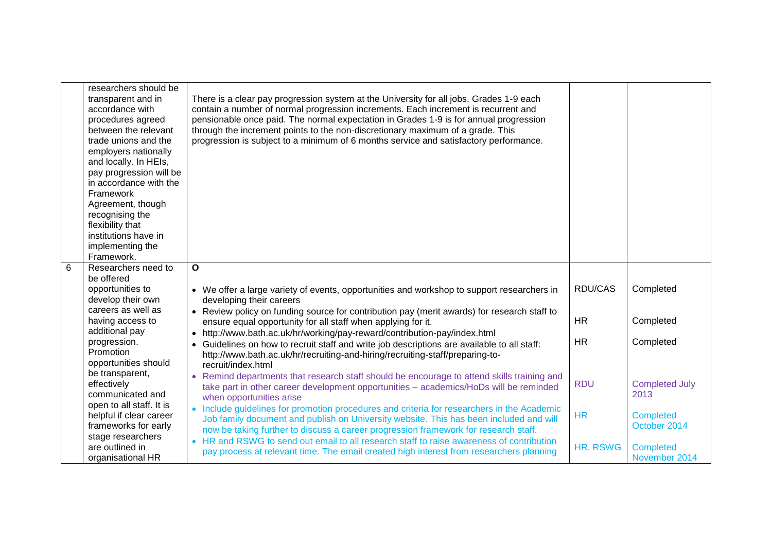|   | researchers should be<br>transparent and in<br>accordance with<br>procedures agreed<br>between the relevant<br>trade unions and the<br>employers nationally<br>and locally. In HEIs,<br>pay progression will be<br>in accordance with the<br>Framework<br>Agreement, though<br>recognising the<br>flexibility that<br>institutions have in<br>implementing the<br>Framework. | There is a clear pay progression system at the University for all jobs. Grades 1-9 each<br>contain a number of normal progression increments. Each increment is recurrent and<br>pensionable once paid. The normal expectation in Grades 1-9 is for annual progression<br>through the increment points to the non-discretionary maximum of a grade. This<br>progression is subject to a minimum of 6 months service and satisfactory performance. |            |                                  |
|---|------------------------------------------------------------------------------------------------------------------------------------------------------------------------------------------------------------------------------------------------------------------------------------------------------------------------------------------------------------------------------|---------------------------------------------------------------------------------------------------------------------------------------------------------------------------------------------------------------------------------------------------------------------------------------------------------------------------------------------------------------------------------------------------------------------------------------------------|------------|----------------------------------|
| 6 | Researchers need to                                                                                                                                                                                                                                                                                                                                                          | O                                                                                                                                                                                                                                                                                                                                                                                                                                                 |            |                                  |
|   | be offered                                                                                                                                                                                                                                                                                                                                                                   |                                                                                                                                                                                                                                                                                                                                                                                                                                                   |            |                                  |
|   | opportunities to                                                                                                                                                                                                                                                                                                                                                             | • We offer a large variety of events, opportunities and workshop to support researchers in                                                                                                                                                                                                                                                                                                                                                        | RDU/CAS    | Completed                        |
|   | develop their own                                                                                                                                                                                                                                                                                                                                                            | developing their careers                                                                                                                                                                                                                                                                                                                                                                                                                          |            |                                  |
|   | careers as well as                                                                                                                                                                                                                                                                                                                                                           | • Review policy on funding source for contribution pay (merit awards) for research staff to                                                                                                                                                                                                                                                                                                                                                       |            |                                  |
|   | having access to                                                                                                                                                                                                                                                                                                                                                             | ensure equal opportunity for all staff when applying for it.                                                                                                                                                                                                                                                                                                                                                                                      | <b>HR</b>  | Completed                        |
|   | additional pay                                                                                                                                                                                                                                                                                                                                                               | http://www.bath.ac.uk/hr/working/pay-reward/contribution-pay/index.html                                                                                                                                                                                                                                                                                                                                                                           | <b>HR</b>  | Completed                        |
|   | progression.<br>Promotion                                                                                                                                                                                                                                                                                                                                                    | Guidelines on how to recruit staff and write job descriptions are available to all staff:                                                                                                                                                                                                                                                                                                                                                         |            |                                  |
|   | opportunities should                                                                                                                                                                                                                                                                                                                                                         | http://www.bath.ac.uk/hr/recruiting-and-hiring/recruiting-staff/preparing-to-<br>recruit/index.html                                                                                                                                                                                                                                                                                                                                               |            |                                  |
|   | be transparent,                                                                                                                                                                                                                                                                                                                                                              | Remind departments that research staff should be encourage to attend skills training and                                                                                                                                                                                                                                                                                                                                                          |            |                                  |
|   | effectively                                                                                                                                                                                                                                                                                                                                                                  | take part in other career development opportunities - academics/HoDs will be reminded                                                                                                                                                                                                                                                                                                                                                             | <b>RDU</b> | <b>Completed July</b>            |
|   | communicated and                                                                                                                                                                                                                                                                                                                                                             | when opportunities arise                                                                                                                                                                                                                                                                                                                                                                                                                          |            | 2013                             |
|   | open to all staff. It is                                                                                                                                                                                                                                                                                                                                                     | • Include guidelines for promotion procedures and criteria for researchers in the Academic                                                                                                                                                                                                                                                                                                                                                        |            |                                  |
|   | helpful if clear career<br>frameworks for early                                                                                                                                                                                                                                                                                                                              | Job family document and publish on University website. This has been included and will                                                                                                                                                                                                                                                                                                                                                            | <b>HR</b>  | <b>Completed</b><br>October 2014 |
|   | stage researchers                                                                                                                                                                                                                                                                                                                                                            | now be taking further to discuss a career progression framework for research staff.                                                                                                                                                                                                                                                                                                                                                               |            |                                  |
|   | are outlined in                                                                                                                                                                                                                                                                                                                                                              | • HR and RSWG to send out email to all research staff to raise awareness of contribution                                                                                                                                                                                                                                                                                                                                                          | HR, RSWG   | <b>Completed</b>                 |
|   | organisational HR                                                                                                                                                                                                                                                                                                                                                            | pay process at relevant time. The email created high interest from researchers planning                                                                                                                                                                                                                                                                                                                                                           |            | November 2014                    |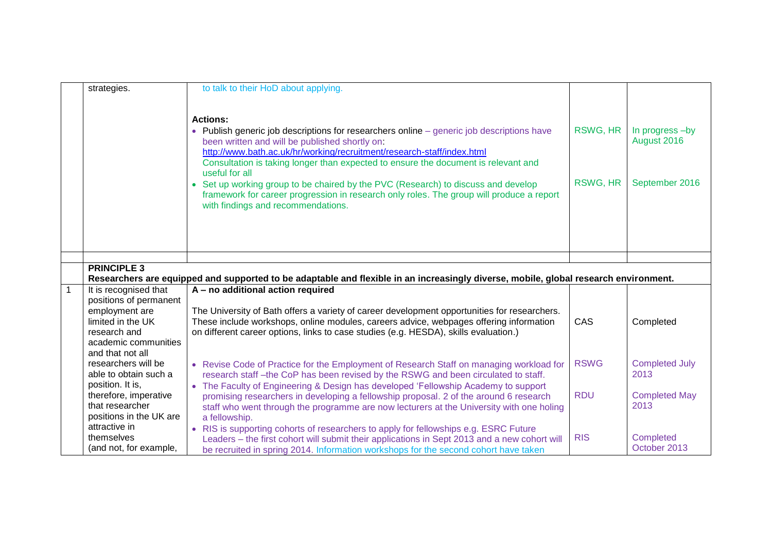|              | strategies.                          | to talk to their HoD about applying.                                                                                                                                                                                                                                                                                                                                                                                                                                                                                                                                    |                      |                                                  |
|--------------|--------------------------------------|-------------------------------------------------------------------------------------------------------------------------------------------------------------------------------------------------------------------------------------------------------------------------------------------------------------------------------------------------------------------------------------------------------------------------------------------------------------------------------------------------------------------------------------------------------------------------|----------------------|--------------------------------------------------|
|              |                                      | <b>Actions:</b><br>• Publish generic job descriptions for researchers online - generic job descriptions have<br>been written and will be published shortly on:<br>http://www.bath.ac.uk/hr/working/recruitment/research-staff/index.html<br>Consultation is taking longer than expected to ensure the document is relevant and<br>useful for all<br>• Set up working group to be chaired by the PVC (Research) to discuss and develop<br>framework for career progression in research only roles. The group will produce a report<br>with findings and recommendations. | RSWG, HR<br>RSWG, HR | In progress -by<br>August 2016<br>September 2016 |
|              |                                      |                                                                                                                                                                                                                                                                                                                                                                                                                                                                                                                                                                         |                      |                                                  |
|              |                                      |                                                                                                                                                                                                                                                                                                                                                                                                                                                                                                                                                                         |                      |                                                  |
|              | <b>PRINCIPLE 3</b>                   |                                                                                                                                                                                                                                                                                                                                                                                                                                                                                                                                                                         |                      |                                                  |
|              |                                      | Researchers are equipped and supported to be adaptable and flexible in an increasingly diverse, mobile, global research environment.                                                                                                                                                                                                                                                                                                                                                                                                                                    |                      |                                                  |
| $\mathbf{1}$ | It is recognised that                | A - no additional action required                                                                                                                                                                                                                                                                                                                                                                                                                                                                                                                                       |                      |                                                  |
|              | positions of permanent               |                                                                                                                                                                                                                                                                                                                                                                                                                                                                                                                                                                         |                      |                                                  |
|              | employment are                       | The University of Bath offers a variety of career development opportunities for researchers.                                                                                                                                                                                                                                                                                                                                                                                                                                                                            |                      |                                                  |
|              | limited in the UK                    | These include workshops, online modules, careers advice, webpages offering information                                                                                                                                                                                                                                                                                                                                                                                                                                                                                  | CAS                  | Completed                                        |
|              | research and<br>academic communities | on different career options, links to case studies (e.g. HESDA), skills evaluation.)                                                                                                                                                                                                                                                                                                                                                                                                                                                                                    |                      |                                                  |
|              | and that not all                     |                                                                                                                                                                                                                                                                                                                                                                                                                                                                                                                                                                         |                      |                                                  |
|              | researchers will be                  | • Revise Code of Practice for the Employment of Research Staff on managing workload for                                                                                                                                                                                                                                                                                                                                                                                                                                                                                 | <b>RSWG</b>          | <b>Completed July</b>                            |
|              | able to obtain such a                | research staff -the CoP has been revised by the RSWG and been circulated to staff.                                                                                                                                                                                                                                                                                                                                                                                                                                                                                      |                      | 2013                                             |
|              | position. It is,                     | • The Faculty of Engineering & Design has developed 'Fellowship Academy to support                                                                                                                                                                                                                                                                                                                                                                                                                                                                                      |                      |                                                  |
|              | therefore, imperative                | promising researchers in developing a fellowship proposal. 2 of the around 6 research                                                                                                                                                                                                                                                                                                                                                                                                                                                                                   | <b>RDU</b>           | <b>Completed May</b>                             |
|              | that researcher                      | staff who went through the programme are now lecturers at the University with one holing                                                                                                                                                                                                                                                                                                                                                                                                                                                                                |                      | 2013                                             |
|              | positions in the UK are              | a fellowship.                                                                                                                                                                                                                                                                                                                                                                                                                                                                                                                                                           |                      |                                                  |
|              | attractive in                        | • RIS is supporting cohorts of researchers to apply for fellowships e.g. ESRC Future                                                                                                                                                                                                                                                                                                                                                                                                                                                                                    |                      |                                                  |
|              | themselves                           | Leaders - the first cohort will submit their applications in Sept 2013 and a new cohort will                                                                                                                                                                                                                                                                                                                                                                                                                                                                            | <b>RIS</b>           | Completed                                        |
|              | (and not, for example,               | be recruited in spring 2014. Information workshops for the second cohort have taken                                                                                                                                                                                                                                                                                                                                                                                                                                                                                     |                      | October 2013                                     |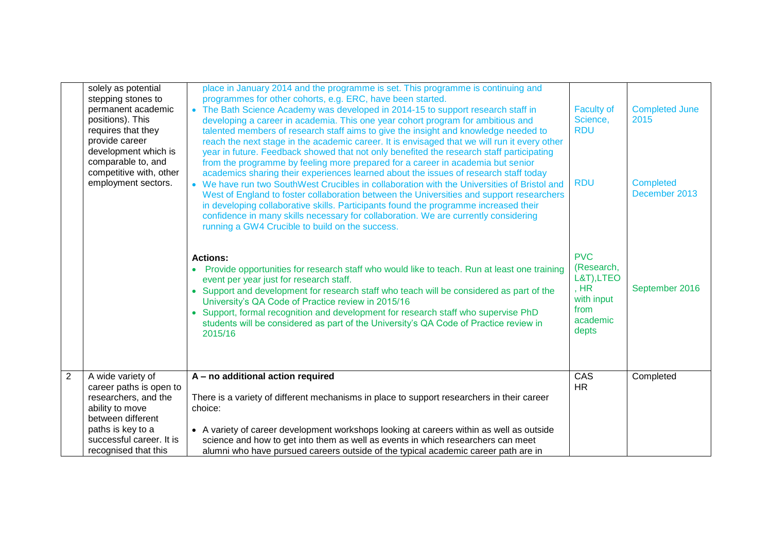|                | solely as potential<br>stepping stones to<br>permanent academic<br>positions). This<br>requires that they<br>provide career<br>development which is<br>comparable to, and<br>competitive with, other<br>employment sectors. | place in January 2014 and the programme is set. This programme is continuing and<br>programmes for other cohorts, e.g. ERC, have been started.<br>• The Bath Science Academy was developed in 2014-15 to support research staff in<br>developing a career in academia. This one year cohort program for ambitious and<br>talented members of research staff aims to give the insight and knowledge needed to<br>reach the next stage in the academic career. It is envisaged that we will run it every other<br>year in future. Feedback showed that not only benefited the research staff participating<br>from the programme by feeling more prepared for a career in academia but senior<br>academics sharing their experiences learned about the issues of research staff today<br>• We have run two SouthWest Crucibles in collaboration with the Universities of Bristol and<br>West of England to foster collaboration between the Universities and support researchers<br>in developing collaborative skills. Participants found the programme increased their<br>confidence in many skills necessary for collaboration. We are currently considering<br>running a GW4 Crucible to build on the success. | <b>Faculty of</b><br>Science,<br><b>RDU</b><br><b>RDU</b>                                   | <b>Completed June</b><br>2015<br><b>Completed</b><br>December 2013 |
|----------------|-----------------------------------------------------------------------------------------------------------------------------------------------------------------------------------------------------------------------------|------------------------------------------------------------------------------------------------------------------------------------------------------------------------------------------------------------------------------------------------------------------------------------------------------------------------------------------------------------------------------------------------------------------------------------------------------------------------------------------------------------------------------------------------------------------------------------------------------------------------------------------------------------------------------------------------------------------------------------------------------------------------------------------------------------------------------------------------------------------------------------------------------------------------------------------------------------------------------------------------------------------------------------------------------------------------------------------------------------------------------------------------------------------------------------------------------------------|---------------------------------------------------------------------------------------------|--------------------------------------------------------------------|
|                |                                                                                                                                                                                                                             | <b>Actions:</b><br>Provide opportunities for research staff who would like to teach. Run at least one training<br>$\bullet$<br>event per year just for research staff.<br>• Support and development for research staff who teach will be considered as part of the<br>University's QA Code of Practice review in 2015/16<br>• Support, formal recognition and development for research staff who supervise PhD<br>students will be considered as part of the University's QA Code of Practice review in<br>2015/16                                                                                                                                                                                                                                                                                                                                                                                                                                                                                                                                                                                                                                                                                               | <b>PVC</b><br>(Research,<br>L&T), LTEO<br>, $HR$<br>with input<br>from<br>academic<br>depts | September 2016                                                     |
| $\overline{2}$ | A wide variety of<br>career paths is open to<br>researchers, and the<br>ability to move<br>between different<br>paths is key to a<br>successful career. It is<br>recognised that this                                       | A - no additional action required<br>There is a variety of different mechanisms in place to support researchers in their career<br>choice:<br>• A variety of career development workshops looking at careers within as well as outside<br>science and how to get into them as well as events in which researchers can meet<br>alumni who have pursued careers outside of the typical academic career path are in                                                                                                                                                                                                                                                                                                                                                                                                                                                                                                                                                                                                                                                                                                                                                                                                 | CAS<br><b>HR</b>                                                                            | Completed                                                          |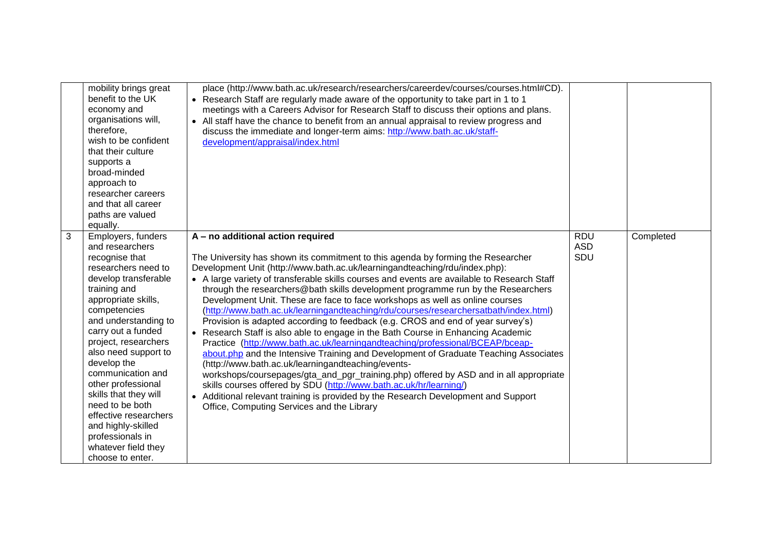|              | mobility brings great<br>benefit to the UK<br>economy and<br>organisations will,<br>therefore,<br>wish to be confident<br>that their culture<br>supports a<br>broad-minded<br>approach to<br>researcher careers<br>and that all career<br>paths are valued<br>equally.                                                                                                                                                                                                          | place (http://www.bath.ac.uk/research/researchers/careerdev/courses/courses.html#CD).<br>• Research Staff are regularly made aware of the opportunity to take part in 1 to 1<br>meetings with a Careers Advisor for Research Staff to discuss their options and plans.<br>• All staff have the chance to benefit from an annual appraisal to review progress and<br>discuss the immediate and longer-term aims: http://www.bath.ac.uk/staff-<br>development/appraisal/index.html                                                                                                                                                                                                                                                                                                                                                                                                                                                                                                                                                                                                                                                                                                                                                                                         |                                 |           |
|--------------|---------------------------------------------------------------------------------------------------------------------------------------------------------------------------------------------------------------------------------------------------------------------------------------------------------------------------------------------------------------------------------------------------------------------------------------------------------------------------------|--------------------------------------------------------------------------------------------------------------------------------------------------------------------------------------------------------------------------------------------------------------------------------------------------------------------------------------------------------------------------------------------------------------------------------------------------------------------------------------------------------------------------------------------------------------------------------------------------------------------------------------------------------------------------------------------------------------------------------------------------------------------------------------------------------------------------------------------------------------------------------------------------------------------------------------------------------------------------------------------------------------------------------------------------------------------------------------------------------------------------------------------------------------------------------------------------------------------------------------------------------------------------|---------------------------------|-----------|
| $\mathbf{3}$ | Employers, funders<br>and researchers<br>recognise that<br>researchers need to<br>develop transferable<br>training and<br>appropriate skills,<br>competencies<br>and understanding to<br>carry out a funded<br>project, researchers<br>also need support to<br>develop the<br>communication and<br>other professional<br>skills that they will<br>need to be both<br>effective researchers<br>and highly-skilled<br>professionals in<br>whatever field they<br>choose to enter. | A - no additional action required<br>The University has shown its commitment to this agenda by forming the Researcher<br>Development Unit (http://www.bath.ac.uk/learningandteaching/rdu/index.php):<br>• A large variety of transferable skills courses and events are available to Research Staff<br>through the researchers@bath skills development programme run by the Researchers<br>Development Unit. These are face to face workshops as well as online courses<br>(http://www.bath.ac.uk/learningandteaching/rdu/courses/researchersatbath/index.html)<br>Provision is adapted according to feedback (e.g. CROS and end of year survey's)<br>• Research Staff is also able to engage in the Bath Course in Enhancing Academic<br>Practice (http://www.bath.ac.uk/learningandteaching/professional/BCEAP/bceap-<br>about.php and the Intensive Training and Development of Graduate Teaching Associates<br>(http://www.bath.ac.uk/learningandteaching/events-<br>workshops/coursepages/gta_and_pgr_training.php) offered by ASD and in all appropriate<br>skills courses offered by SDU (http://www.bath.ac.uk/hr/learning/)<br>• Additional relevant training is provided by the Research Development and Support<br>Office, Computing Services and the Library | <b>RDU</b><br><b>ASD</b><br>SDU | Completed |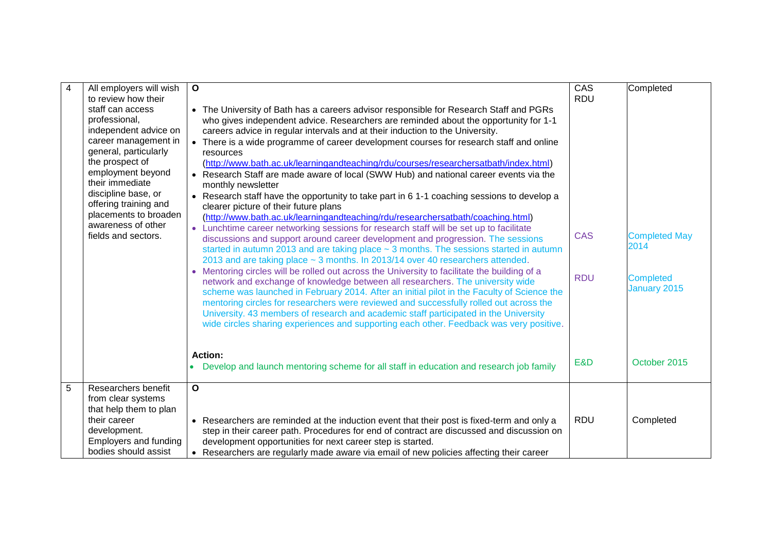| $\overline{4}$ | All employers will wish<br>to review how their<br>staff can access<br>professional,<br>independent advice on<br>career management in<br>general, particularly<br>the prospect of<br>employment beyond<br>their immediate<br>discipline base, or<br>offering training and<br>placements to broaden<br>awareness of other | $\mathbf{o}$<br>• The University of Bath has a careers advisor responsible for Research Staff and PGRs<br>who gives independent advice. Researchers are reminded about the opportunity for 1-1<br>careers advice in regular intervals and at their induction to the University.<br>• There is a wide programme of career development courses for research staff and online<br>resources<br>(http://www.bath.ac.uk/learningandteaching/rdu/courses/researchersatbath/index.html)<br>• Research Staff are made aware of local (SWW Hub) and national career events via the<br>monthly newsletter<br>• Research staff have the opportunity to take part in 6 1-1 coaching sessions to develop a<br>clearer picture of their future plans<br>(http://www.bath.ac.uk/learningandteaching/rdu/researchersatbath/coaching.html)                                                                                                                | CAS<br><b>RDU</b>               | Completed                                                                        |
|----------------|-------------------------------------------------------------------------------------------------------------------------------------------------------------------------------------------------------------------------------------------------------------------------------------------------------------------------|-----------------------------------------------------------------------------------------------------------------------------------------------------------------------------------------------------------------------------------------------------------------------------------------------------------------------------------------------------------------------------------------------------------------------------------------------------------------------------------------------------------------------------------------------------------------------------------------------------------------------------------------------------------------------------------------------------------------------------------------------------------------------------------------------------------------------------------------------------------------------------------------------------------------------------------------|---------------------------------|----------------------------------------------------------------------------------|
|                | fields and sectors.                                                                                                                                                                                                                                                                                                     | • Lunchtime career networking sessions for research staff will be set up to facilitate<br>discussions and support around career development and progression. The sessions<br>started in autumn 2013 and are taking place $\sim$ 3 months. The sessions started in autumn<br>2013 and are taking place $\sim$ 3 months. In 2013/14 over 40 researchers attended.<br>• Mentoring circles will be rolled out across the University to facilitate the building of a<br>network and exchange of knowledge between all researchers. The university wide<br>scheme was launched in February 2014. After an initial pilot in the Faculty of Science the<br>mentoring circles for researchers were reviewed and successfully rolled out across the<br>University. 43 members of research and academic staff participated in the University<br>wide circles sharing experiences and supporting each other. Feedback was very positive.<br>Action: | <b>CAS</b><br><b>RDU</b><br>E&D | <b>Completed May</b><br>2014<br><b>Completed</b><br>January 2015<br>October 2015 |
|                |                                                                                                                                                                                                                                                                                                                         | Develop and launch mentoring scheme for all staff in education and research job family                                                                                                                                                                                                                                                                                                                                                                                                                                                                                                                                                                                                                                                                                                                                                                                                                                                  |                                 |                                                                                  |
| 5              | Researchers benefit<br>from clear systems<br>that help them to plan<br>their career<br>development.<br>Employers and funding<br>bodies should assist                                                                                                                                                                    | $\overline{\mathbf{o}}$<br>• Researchers are reminded at the induction event that their post is fixed-term and only a<br>step in their career path. Procedures for end of contract are discussed and discussion on<br>development opportunities for next career step is started.<br>• Researchers are regularly made aware via email of new policies affecting their career                                                                                                                                                                                                                                                                                                                                                                                                                                                                                                                                                             | <b>RDU</b>                      | Completed                                                                        |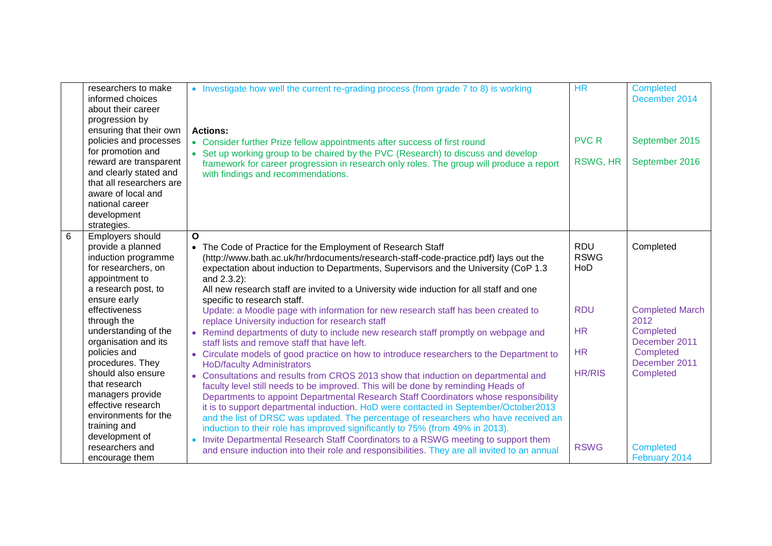|   | researchers to make<br>informed choices<br>about their career<br>progression by<br>ensuring that their own | • Investigate how well the current re-grading process (from grade 7 to 8) is working<br><b>Actions:</b>                                                                   | <b>HR</b>     | <b>Completed</b><br>December 2014 |
|---|------------------------------------------------------------------------------------------------------------|---------------------------------------------------------------------------------------------------------------------------------------------------------------------------|---------------|-----------------------------------|
|   | policies and processes                                                                                     | • Consider further Prize fellow appointments after success of first round                                                                                                 | <b>PVC R</b>  | September 2015                    |
|   | for promotion and                                                                                          | • Set up working group to be chaired by the PVC (Research) to discuss and develop                                                                                         |               |                                   |
|   | reward are transparent                                                                                     | framework for career progression in research only roles. The group will produce a report                                                                                  | RSWG, HR      | September 2016                    |
|   | and clearly stated and<br>that all researchers are                                                         | with findings and recommendations.                                                                                                                                        |               |                                   |
|   | aware of local and                                                                                         |                                                                                                                                                                           |               |                                   |
|   | national career                                                                                            |                                                                                                                                                                           |               |                                   |
|   | development                                                                                                |                                                                                                                                                                           |               |                                   |
|   | strategies.                                                                                                |                                                                                                                                                                           |               |                                   |
| 6 | Employers should                                                                                           | $\Omega$                                                                                                                                                                  |               |                                   |
|   | provide a planned                                                                                          | The Code of Practice for the Employment of Research Staff                                                                                                                 | <b>RDU</b>    | Completed                         |
|   | induction programme                                                                                        | (http://www.bath.ac.uk/hr/hrdocuments/research-staff-code-practice.pdf) lays out the                                                                                      | <b>RSWG</b>   |                                   |
|   | for researchers, on<br>appointment to                                                                      | expectation about induction to Departments, Supervisors and the University (CoP 1.3<br>and 2.3.2):                                                                        | HoD           |                                   |
|   | a research post, to                                                                                        | All new research staff are invited to a University wide induction for all staff and one                                                                                   |               |                                   |
|   | ensure early                                                                                               | specific to research staff.                                                                                                                                               |               |                                   |
|   | effectiveness                                                                                              | Update: a Moodle page with information for new research staff has been created to                                                                                         | <b>RDU</b>    | <b>Completed March</b>            |
|   | through the                                                                                                | replace University induction for research staff                                                                                                                           |               | 2012                              |
|   | understanding of the                                                                                       | • Remind departments of duty to include new research staff promptly on webpage and                                                                                        | <b>HR</b>     | Completed                         |
|   | organisation and its                                                                                       | staff lists and remove staff that have left.                                                                                                                              |               | December 2011                     |
|   | policies and                                                                                               | • Circulate models of good practice on how to introduce researchers to the Department to                                                                                  | <b>HR</b>     | Completed                         |
|   | procedures. They<br>should also ensure                                                                     | <b>HoD/faculty Administrators</b>                                                                                                                                         | <b>HR/RIS</b> | December 2011<br>Completed        |
|   | that research                                                                                              | Consultations and results from CROS 2013 show that induction on departmental and                                                                                          |               |                                   |
|   | managers provide                                                                                           | faculty level still needs to be improved. This will be done by reminding Heads of<br>Departments to appoint Departmental Research Staff Coordinators whose responsibility |               |                                   |
|   | effective research                                                                                         | it is to support departmental induction. HoD were contacted in September/October2013                                                                                      |               |                                   |
|   | environments for the                                                                                       | and the list of DRSC was updated. The percentage of researchers who have received an                                                                                      |               |                                   |
|   | training and                                                                                               | induction to their role has improved significantly to 75% (from 49% in 2013).                                                                                             |               |                                   |
|   | development of                                                                                             | Invite Departmental Research Staff Coordinators to a RSWG meeting to support them<br>$\bullet$                                                                            |               |                                   |
|   | researchers and                                                                                            | and ensure induction into their role and responsibilities. They are all invited to an annual                                                                              | <b>RSWG</b>   | <b>Completed</b>                  |
|   | encourage them                                                                                             |                                                                                                                                                                           |               | February 2014                     |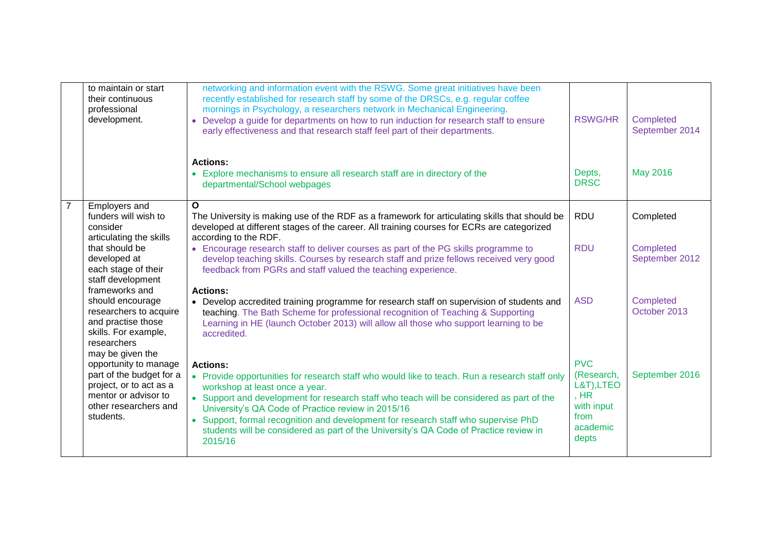|                | to maintain or start<br>their continuous<br>professional<br>development.                                                                      | networking and information event with the RSWG. Some great initiatives have been<br>recently established for research staff by some of the DRSCs, e.g. regular coffee<br>mornings in Psychology, a researchers network in Mechanical Engineering.<br>• Develop a guide for departments on how to run induction for research staff to ensure<br>early effectiveness and that research staff feel part of their departments.                                                                     | <b>RSWG/HR</b>                                                                            | Completed<br>September 2014 |
|----------------|-----------------------------------------------------------------------------------------------------------------------------------------------|------------------------------------------------------------------------------------------------------------------------------------------------------------------------------------------------------------------------------------------------------------------------------------------------------------------------------------------------------------------------------------------------------------------------------------------------------------------------------------------------|-------------------------------------------------------------------------------------------|-----------------------------|
|                |                                                                                                                                               | <b>Actions:</b><br>• Explore mechanisms to ensure all research staff are in directory of the<br>departmental/School webpages                                                                                                                                                                                                                                                                                                                                                                   | Depts,<br><b>DRSC</b>                                                                     | May 2016                    |
| $\overline{7}$ | Employers and                                                                                                                                 | $\mathbf{o}$                                                                                                                                                                                                                                                                                                                                                                                                                                                                                   |                                                                                           |                             |
|                | funders will wish to<br>consider                                                                                                              | The University is making use of the RDF as a framework for articulating skills that should be<br>developed at different stages of the career. All training courses for ECRs are categorized                                                                                                                                                                                                                                                                                                    | <b>RDU</b>                                                                                | Completed                   |
|                | articulating the skills<br>that should be<br>developed at<br>each stage of their<br>staff development                                         | according to the RDF.<br>• Encourage research staff to deliver courses as part of the PG skills programme to<br>develop teaching skills. Courses by research staff and prize fellows received very good<br>feedback from PGRs and staff valued the teaching experience.                                                                                                                                                                                                                        | <b>RDU</b>                                                                                | Completed<br>September 2012 |
|                | frameworks and<br>should encourage<br>researchers to acquire<br>and practise those<br>skills. For example,<br>researchers<br>may be given the | <b>Actions:</b><br>• Develop accredited training programme for research staff on supervision of students and<br>teaching. The Bath Scheme for professional recognition of Teaching & Supporting<br>Learning in HE (launch October 2013) will allow all those who support learning to be<br>accredited.                                                                                                                                                                                         | <b>ASD</b>                                                                                | Completed<br>October 2013   |
|                | opportunity to manage<br>part of the budget for a<br>project, or to act as a<br>mentor or advisor to<br>other researchers and<br>students.    | <b>Actions:</b><br>• Provide opportunities for research staff who would like to teach. Run a research staff only<br>workshop at least once a year.<br>• Support and development for research staff who teach will be considered as part of the<br>University's QA Code of Practice review in 2015/16<br>• Support, formal recognition and development for research staff who supervise PhD<br>students will be considered as part of the University's QA Code of Practice review in<br>2015/16 | <b>PVC</b><br>(Research,<br>L&T), LTEO<br>, HR<br>with input<br>from<br>academic<br>depts | September 2016              |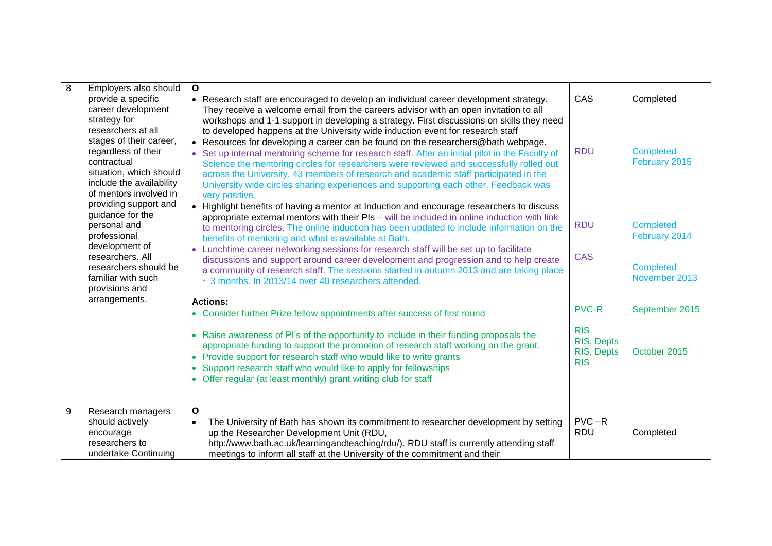| 8 | Employers also should<br>provide a specific<br>career development                                                                                                                    | $\mathbf{o}$<br>• Research staff are encouraged to develop an individual career development strategy.<br>They receive a welcome email from the careers advisor with an open invitation to all                                                                                                                                                                                                                                                                                                                                                                                                                                                                 | CAS                                                  | Completed                         |
|---|--------------------------------------------------------------------------------------------------------------------------------------------------------------------------------------|---------------------------------------------------------------------------------------------------------------------------------------------------------------------------------------------------------------------------------------------------------------------------------------------------------------------------------------------------------------------------------------------------------------------------------------------------------------------------------------------------------------------------------------------------------------------------------------------------------------------------------------------------------------|------------------------------------------------------|-----------------------------------|
|   | strategy for<br>researchers at all<br>stages of their career,<br>regardless of their<br>contractual<br>situation, which should<br>include the availability<br>of mentors involved in | workshops and 1-1 support in developing a strategy. First discussions on skills they need<br>to developed happens at the University wide induction event for research staff<br>• Resources for developing a career can be found on the researchers@bath webpage.<br>Set up internal mentoring scheme for research staff. After an initial pilot in the Faculty of<br>Science the mentoring circles for researchers were reviewed and successfully rolled out<br>across the University. 43 members of research and academic staff participated in the<br>University wide circles sharing experiences and supporting each other. Feedback was<br>very positive. | <b>RDU</b>                                           | <b>Completed</b><br>February 2015 |
|   | providing support and<br>guidance for the<br>personal and<br>professional                                                                                                            | Highlight benefits of having a mentor at Induction and encourage researchers to discuss<br>appropriate external mentors with their PIs - will be included in online induction with link<br>to mentoring circles. The online induction has been updated to include information on the<br>benefits of mentoring and what is available at Bath.                                                                                                                                                                                                                                                                                                                  | <b>RDU</b>                                           | <b>Completed</b><br>February 2014 |
|   | development of<br>researchers. All<br>researchers should be<br>familiar with such<br>provisions and                                                                                  | Lunchtime career networking sessions for research staff will be set up to facilitate<br>$\bullet$<br>discussions and support around career development and progression and to help create<br>a community of research staff. The sessions started in autumn 2013 and are taking place<br>~3 months. In 2013/14 over 40 researchers attended.                                                                                                                                                                                                                                                                                                                   | <b>CAS</b>                                           | <b>Completed</b><br>November 2013 |
|   | arrangements.                                                                                                                                                                        | <b>Actions:</b>                                                                                                                                                                                                                                                                                                                                                                                                                                                                                                                                                                                                                                               |                                                      |                                   |
|   |                                                                                                                                                                                      | • Consider further Prize fellow appointments after success of first round                                                                                                                                                                                                                                                                                                                                                                                                                                                                                                                                                                                     | <b>PVC-R</b>                                         | September 2015                    |
|   |                                                                                                                                                                                      | Raise awareness of PI's of the opportunity to include in their funding proposals the<br>$\bullet$<br>appropriate funding to support the promotion of research staff working on the grant.<br>Provide support for research staff who would like to write grants<br>$\bullet$<br>Support research staff who would like to apply for fellowships<br>Offer regular (at least monthly) grant writing club for staff                                                                                                                                                                                                                                                | <b>RIS</b><br>RIS, Depts<br>RIS, Depts<br><b>RIS</b> | October 2015                      |
| 9 | Research managers<br>should actively<br>encourage<br>researchers to<br>undertake Continuing                                                                                          | O<br>The University of Bath has shown its commitment to researcher development by setting<br>$\bullet$<br>up the Researcher Development Unit (RDU,<br>http://www.bath.ac.uk/learningandteaching/rdu/). RDU staff is currently attending staff<br>meetings to inform all staff at the University of the commitment and their                                                                                                                                                                                                                                                                                                                                   | $PVC - R$<br><b>RDU</b>                              | Completed                         |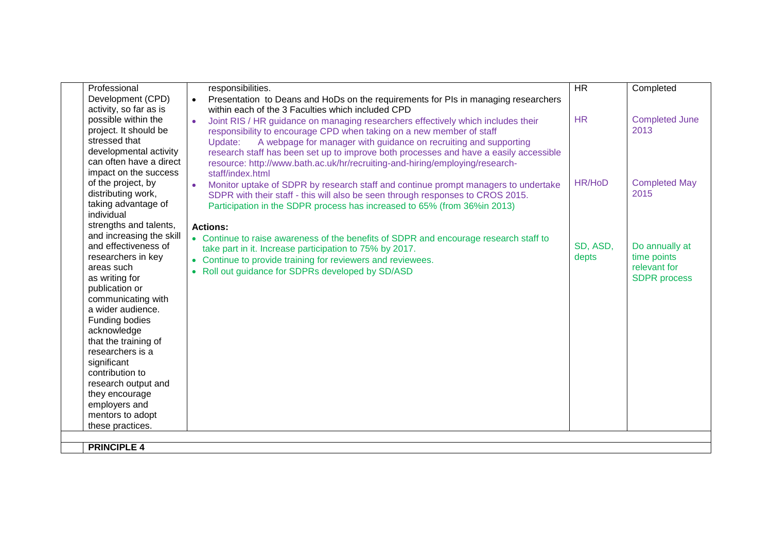| Development (CPD)<br>Presentation to Deans and HoDs on the requirements for PIs in managing researchers<br>activity, so far as is<br>within each of the 3 Faculties which included CPD<br>possible within the<br><b>HR</b><br>Joint RIS / HR guidance on managing researchers effectively which includes their | <b>Completed June</b><br>2013 |
|----------------------------------------------------------------------------------------------------------------------------------------------------------------------------------------------------------------------------------------------------------------------------------------------------------------|-------------------------------|
|                                                                                                                                                                                                                                                                                                                |                               |
|                                                                                                                                                                                                                                                                                                                |                               |
|                                                                                                                                                                                                                                                                                                                |                               |
| project. It should be<br>responsibility to encourage CPD when taking on a new member of staff                                                                                                                                                                                                                  |                               |
| stressed that<br>A webpage for manager with guidance on recruiting and supporting<br>Update:                                                                                                                                                                                                                   |                               |
| developmental activity<br>research staff has been set up to improve both processes and have a easily accessible                                                                                                                                                                                                |                               |
| can often have a direct<br>resource: http://www.bath.ac.uk/hr/recruiting-and-hiring/employing/research-                                                                                                                                                                                                        |                               |
| impact on the success<br>staff/index.html                                                                                                                                                                                                                                                                      |                               |
| <b>HR/HoD</b><br>of the project, by<br>Monitor uptake of SDPR by research staff and continue prompt managers to undertake                                                                                                                                                                                      | <b>Completed May</b>          |
| distributing work,<br>SDPR with their staff - this will also be seen through responses to CROS 2015.                                                                                                                                                                                                           | 2015                          |
| taking advantage of<br>Participation in the SDPR process has increased to 65% (from 36%in 2013)                                                                                                                                                                                                                |                               |
| individual                                                                                                                                                                                                                                                                                                     |                               |
| strengths and talents,<br><b>Actions:</b>                                                                                                                                                                                                                                                                      |                               |
| and increasing the skill<br>• Continue to raise awareness of the benefits of SDPR and encourage research staff to                                                                                                                                                                                              |                               |
| and effectiveness of<br>SD, ASD,<br>take part in it. Increase participation to 75% by 2017.                                                                                                                                                                                                                    | Do annually at                |
| researchers in key<br>depts<br>• Continue to provide training for reviewers and reviewees.                                                                                                                                                                                                                     | time points<br>relevant for   |
| areas such<br>• Roll out guidance for SDPRs developed by SD/ASD                                                                                                                                                                                                                                                |                               |
| as writing for                                                                                                                                                                                                                                                                                                 | <b>SDPR</b> process           |
| publication or<br>communicating with                                                                                                                                                                                                                                                                           |                               |
| a wider audience.                                                                                                                                                                                                                                                                                              |                               |
| Funding bodies                                                                                                                                                                                                                                                                                                 |                               |
| acknowledge                                                                                                                                                                                                                                                                                                    |                               |
| that the training of                                                                                                                                                                                                                                                                                           |                               |
| researchers is a                                                                                                                                                                                                                                                                                               |                               |
| significant                                                                                                                                                                                                                                                                                                    |                               |
| contribution to                                                                                                                                                                                                                                                                                                |                               |
| research output and                                                                                                                                                                                                                                                                                            |                               |
| they encourage                                                                                                                                                                                                                                                                                                 |                               |
| employers and                                                                                                                                                                                                                                                                                                  |                               |
| mentors to adopt                                                                                                                                                                                                                                                                                               |                               |
| these practices.                                                                                                                                                                                                                                                                                               |                               |
|                                                                                                                                                                                                                                                                                                                |                               |
| <b>PRINCIPLE 4</b>                                                                                                                                                                                                                                                                                             |                               |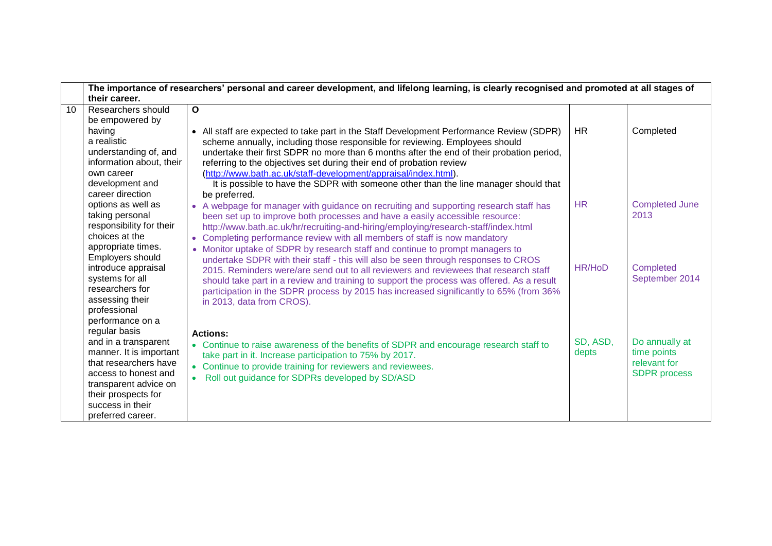|    | The importance of researchers' personal and career development, and lifelong learning, is clearly recognised and promoted at all stages of |                                                                                                                                                                                     |               |                       |
|----|--------------------------------------------------------------------------------------------------------------------------------------------|-------------------------------------------------------------------------------------------------------------------------------------------------------------------------------------|---------------|-----------------------|
|    | their career.                                                                                                                              |                                                                                                                                                                                     |               |                       |
| 10 | Researchers should                                                                                                                         | $\mathbf{o}$                                                                                                                                                                        |               |                       |
|    | be empowered by                                                                                                                            |                                                                                                                                                                                     |               |                       |
|    | having<br>a realistic                                                                                                                      | All staff are expected to take part in the Staff Development Performance Review (SDPR)<br>$\bullet$<br>scheme annually, including those responsible for reviewing. Employees should | <b>HR</b>     | Completed             |
|    | understanding of, and<br>information about, their                                                                                          | undertake their first SDPR no more than 6 months after the end of their probation period,<br>referring to the objectives set during their end of probation review                   |               |                       |
|    | own career<br>development and                                                                                                              | (http://www.bath.ac.uk/staff-development/appraisal/index.html).<br>It is possible to have the SDPR with someone other than the line manager should that                             |               |                       |
|    | career direction                                                                                                                           | be preferred.                                                                                                                                                                       |               |                       |
|    | options as well as                                                                                                                         | • A webpage for manager with guidance on recruiting and supporting research staff has                                                                                               | <b>HR</b>     | <b>Completed June</b> |
|    | taking personal                                                                                                                            | been set up to improve both processes and have a easily accessible resource:                                                                                                        |               | 2013                  |
|    | responsibility for their                                                                                                                   | http://www.bath.ac.uk/hr/recruiting-and-hiring/employing/research-staff/index.html                                                                                                  |               |                       |
|    | choices at the                                                                                                                             | Completing performance review with all members of staff is now mandatory                                                                                                            |               |                       |
|    | appropriate times.                                                                                                                         | • Monitor uptake of SDPR by research staff and continue to prompt managers to                                                                                                       |               |                       |
|    | Employers should                                                                                                                           | undertake SDPR with their staff - this will also be seen through responses to CROS                                                                                                  |               |                       |
|    | introduce appraisal                                                                                                                        | 2015. Reminders were/are send out to all reviewers and reviewees that research staff                                                                                                | <b>HR/HoD</b> | <b>Completed</b>      |
|    | systems for all                                                                                                                            | should take part in a review and training to support the process was offered. As a result                                                                                           |               | September 2014        |
|    | researchers for                                                                                                                            | participation in the SDPR process by 2015 has increased significantly to 65% (from 36%)                                                                                             |               |                       |
|    | assessing their                                                                                                                            | in 2013, data from CROS).                                                                                                                                                           |               |                       |
|    | professional<br>performance on a                                                                                                           |                                                                                                                                                                                     |               |                       |
|    | regular basis                                                                                                                              |                                                                                                                                                                                     |               |                       |
|    | and in a transparent                                                                                                                       | <b>Actions:</b>                                                                                                                                                                     | SD, ASD,      | Do annually at        |
|    | manner. It is important                                                                                                                    | • Continue to raise awareness of the benefits of SDPR and encourage research staff to<br>take part in it. Increase participation to 75% by 2017.                                    | depts         | time points           |
|    | that researchers have                                                                                                                      | • Continue to provide training for reviewers and reviewees.                                                                                                                         |               | relevant for          |
|    | access to honest and                                                                                                                       | Roll out guidance for SDPRs developed by SD/ASD                                                                                                                                     |               | <b>SDPR</b> process   |
|    | transparent advice on                                                                                                                      |                                                                                                                                                                                     |               |                       |
|    | their prospects for                                                                                                                        |                                                                                                                                                                                     |               |                       |
|    | success in their                                                                                                                           |                                                                                                                                                                                     |               |                       |
|    | preferred career.                                                                                                                          |                                                                                                                                                                                     |               |                       |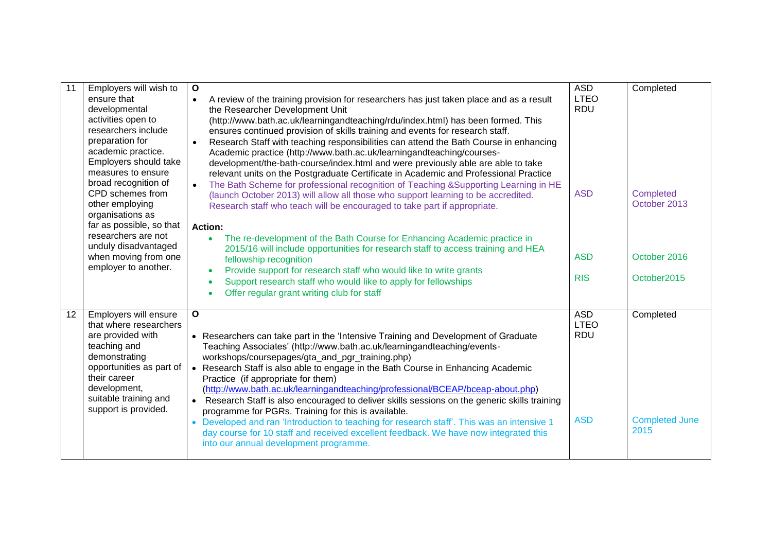| 11 | Employers will wish to                       | $\mathbf{o}$                                                                                                                                              | <b>ASD</b>                | Completed                        |
|----|----------------------------------------------|-----------------------------------------------------------------------------------------------------------------------------------------------------------|---------------------------|----------------------------------|
|    | ensure that<br>developmental                 | A review of the training provision for researchers has just taken place and as a result<br>$\bullet$<br>the Researcher Development Unit                   | <b>LTEO</b><br><b>RDU</b> |                                  |
|    | activities open to                           | (http://www.bath.ac.uk/learningandteaching/rdu/index.html) has been formed. This                                                                          |                           |                                  |
|    | researchers include                          | ensures continued provision of skills training and events for research staff.                                                                             |                           |                                  |
|    | preparation for                              | Research Staff with teaching responsibilities can attend the Bath Course in enhancing<br>$\bullet$                                                        |                           |                                  |
|    | academic practice.<br>Employers should take  | Academic practice (http://www.bath.ac.uk/learningandteaching/courses-<br>development/the-bath-course/index.html and were previously able are able to take |                           |                                  |
|    | measures to ensure                           | relevant units on the Postgraduate Certificate in Academic and Professional Practice                                                                      |                           |                                  |
|    | broad recognition of                         | The Bath Scheme for professional recognition of Teaching & Supporting Learning in HE                                                                      |                           |                                  |
|    | CPD schemes from<br>other employing          | (launch October 2013) will allow all those who support learning to be accredited.                                                                         | <b>ASD</b>                | <b>Completed</b><br>October 2013 |
|    | organisations as                             | Research staff who teach will be encouraged to take part if appropriate.                                                                                  |                           |                                  |
|    | far as possible, so that                     | <b>Action:</b>                                                                                                                                            |                           |                                  |
|    | researchers are not                          | The re-development of the Bath Course for Enhancing Academic practice in                                                                                  |                           |                                  |
|    | unduly disadvantaged<br>when moving from one | 2015/16 will include opportunities for research staff to access training and HEA<br>fellowship recognition                                                | <b>ASD</b>                | October 2016                     |
|    | employer to another.                         | Provide support for research staff who would like to write grants                                                                                         |                           |                                  |
|    |                                              | Support research staff who would like to apply for fellowships<br>$\bullet$                                                                               | <b>RIS</b>                | October2015                      |
|    |                                              | Offer regular grant writing club for staff                                                                                                                |                           |                                  |
| 12 | Employers will ensure                        | $\mathbf{o}$                                                                                                                                              | <b>ASD</b>                | Completed                        |
|    | that where researchers                       |                                                                                                                                                           | <b>LTEO</b>               |                                  |
|    | are provided with                            | • Researchers can take part in the 'Intensive Training and Development of Graduate                                                                        | <b>RDU</b>                |                                  |
|    | teaching and<br>demonstrating                | Teaching Associates' (http://www.bath.ac.uk/learningandteaching/events-<br>workshops/coursepages/gta_and_pgr_training.php)                                |                           |                                  |
|    | opportunities as part of                     | • Research Staff is also able to engage in the Bath Course in Enhancing Academic                                                                          |                           |                                  |
|    | their career                                 | Practice (if appropriate for them)                                                                                                                        |                           |                                  |
|    | development,<br>suitable training and        | (http://www.bath.ac.uk/learningandteaching/professional/BCEAP/bceap-about.php)                                                                            |                           |                                  |
|    | support is provided.                         | Research Staff is also encouraged to deliver skills sessions on the generic skills training<br>programme for PGRs. Training for this is available.        |                           |                                  |
|    |                                              | Developed and ran 'Introduction to teaching for research staff'. This was an intensive 1<br>$\bullet$                                                     | <b>ASD</b>                | <b>Completed June</b>            |
|    |                                              | day course for 10 staff and received excellent feedback. We have now integrated this                                                                      |                           | 2015                             |
|    |                                              | into our annual development programme.                                                                                                                    |                           |                                  |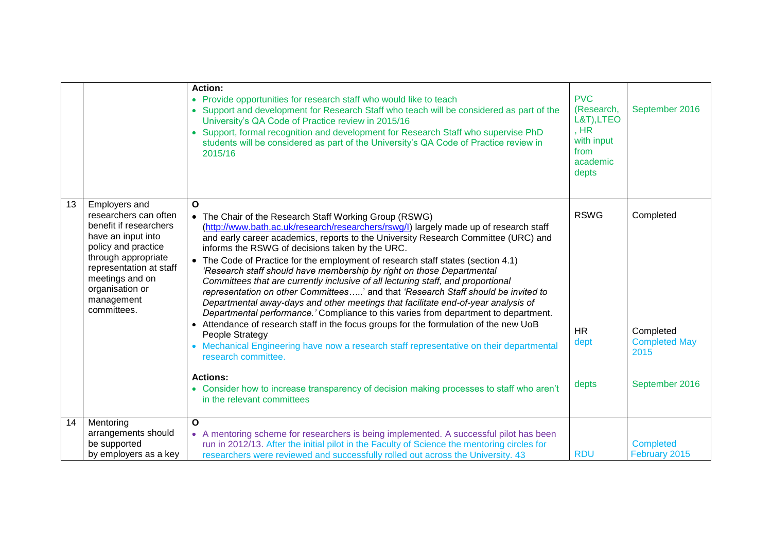|    |                                                                                                                                                                                                                                    | <b>Action:</b><br>• Provide opportunities for research staff who would like to teach<br>Support and development for Research Staff who teach will be considered as part of the<br>University's QA Code of Practice review in 2015/16<br>Support, formal recognition and development for Research Staff who supervise PhD<br>$\bullet$<br>students will be considered as part of the University's QA Code of Practice review in<br>2015/16                                                                                                                                                                                                                                                                                                                                                                                                                                                                                                                                                                                                                                                                                                                                                         | <b>PVC</b><br>(Research,<br>L&T), LTEO<br>, HR<br>with input<br>from<br>academic<br>depts | September 2016                                                           |
|----|------------------------------------------------------------------------------------------------------------------------------------------------------------------------------------------------------------------------------------|---------------------------------------------------------------------------------------------------------------------------------------------------------------------------------------------------------------------------------------------------------------------------------------------------------------------------------------------------------------------------------------------------------------------------------------------------------------------------------------------------------------------------------------------------------------------------------------------------------------------------------------------------------------------------------------------------------------------------------------------------------------------------------------------------------------------------------------------------------------------------------------------------------------------------------------------------------------------------------------------------------------------------------------------------------------------------------------------------------------------------------------------------------------------------------------------------|-------------------------------------------------------------------------------------------|--------------------------------------------------------------------------|
| 13 | Employers and<br>researchers can often<br>benefit if researchers<br>have an input into<br>policy and practice<br>through appropriate<br>representation at staff<br>meetings and on<br>organisation or<br>management<br>committees. | $\Omega$<br>• The Chair of the Research Staff Working Group (RSWG)<br>(http://www.bath.ac.uk/research/researchers/rswg/l) largely made up of research staff<br>and early career academics, reports to the University Research Committee (URC) and<br>informs the RSWG of decisions taken by the URC.<br>• The Code of Practice for the employment of research staff states (section 4.1)<br>'Research staff should have membership by right on those Departmental<br>Committees that are currently inclusive of all lecturing staff, and proportional<br>representation on other Committees' and that 'Research Staff should be invited to<br>Departmental away-days and other meetings that facilitate end-of-year analysis of<br>Departmental performance.' Compliance to this varies from department to department.<br>• Attendance of research staff in the focus groups for the formulation of the new UoB<br>People Strategy<br>• Mechanical Engineering have now a research staff representative on their departmental<br>research committee.<br><b>Actions:</b><br>• Consider how to increase transparency of decision making processes to staff who aren't<br>in the relevant committees | <b>RSWG</b><br><b>HR</b><br>dept<br>depts                                                 | Completed<br>Completed<br><b>Completed May</b><br>2015<br>September 2016 |
| 14 | Mentoring<br>arrangements should<br>be supported<br>by employers as a key                                                                                                                                                          | O<br>• A mentoring scheme for researchers is being implemented. A successful pilot has been<br>run in 2012/13. After the initial pilot in the Faculty of Science the mentoring circles for<br>researchers were reviewed and successfully rolled out across the University. 43                                                                                                                                                                                                                                                                                                                                                                                                                                                                                                                                                                                                                                                                                                                                                                                                                                                                                                                     | <b>RDU</b>                                                                                | <b>Completed</b><br>February 2015                                        |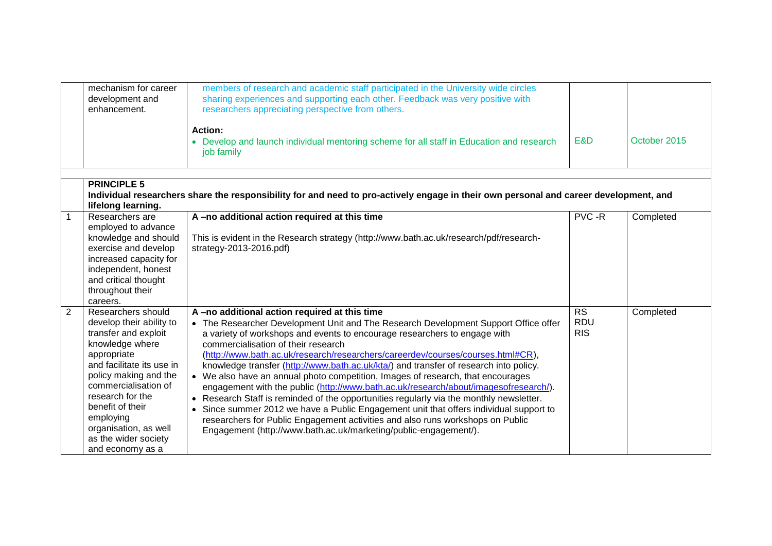|                | mechanism for career<br>development and<br>enhancement.                                                                                                                                                                                                                                                          | members of research and academic staff participated in the University wide circles<br>sharing experiences and supporting each other. Feedback was very positive with<br>researchers appreciating perspective from others.                                                                                                                                                                                                                                                                                                                                                                                                                                                                                                                                                                                                                                                                                                                                          |                                       |              |
|----------------|------------------------------------------------------------------------------------------------------------------------------------------------------------------------------------------------------------------------------------------------------------------------------------------------------------------|--------------------------------------------------------------------------------------------------------------------------------------------------------------------------------------------------------------------------------------------------------------------------------------------------------------------------------------------------------------------------------------------------------------------------------------------------------------------------------------------------------------------------------------------------------------------------------------------------------------------------------------------------------------------------------------------------------------------------------------------------------------------------------------------------------------------------------------------------------------------------------------------------------------------------------------------------------------------|---------------------------------------|--------------|
|                |                                                                                                                                                                                                                                                                                                                  | Action:<br>• Develop and launch individual mentoring scheme for all staff in Education and research<br>job family                                                                                                                                                                                                                                                                                                                                                                                                                                                                                                                                                                                                                                                                                                                                                                                                                                                  | E&D                                   | October 2015 |
|                |                                                                                                                                                                                                                                                                                                                  |                                                                                                                                                                                                                                                                                                                                                                                                                                                                                                                                                                                                                                                                                                                                                                                                                                                                                                                                                                    |                                       |              |
|                | <b>PRINCIPLE 5</b><br>lifelong learning.                                                                                                                                                                                                                                                                         | Individual researchers share the responsibility for and need to pro-actively engage in their own personal and career development, and                                                                                                                                                                                                                                                                                                                                                                                                                                                                                                                                                                                                                                                                                                                                                                                                                              |                                       |              |
| $\mathbf{1}$   | Researchers are<br>employed to advance<br>knowledge and should<br>exercise and develop<br>increased capacity for<br>independent, honest<br>and critical thought<br>throughout their<br>careers.                                                                                                                  | A-no additional action required at this time<br>This is evident in the Research strategy (http://www.bath.ac.uk/research/pdf/research-<br>strategy-2013-2016.pdf)                                                                                                                                                                                                                                                                                                                                                                                                                                                                                                                                                                                                                                                                                                                                                                                                  | PVC -R                                | Completed    |
| $\overline{2}$ | Researchers should<br>develop their ability to<br>transfer and exploit<br>knowledge where<br>appropriate<br>and facilitate its use in<br>policy making and the<br>commercialisation of<br>research for the<br>benefit of their<br>employing<br>organisation, as well<br>as the wider society<br>and economy as a | A-no additional action required at this time<br>• The Researcher Development Unit and The Research Development Support Office offer<br>a variety of workshops and events to encourage researchers to engage with<br>commercialisation of their research<br>(http://www.bath.ac.uk/research/researchers/careerdev/courses/courses.html#CR),<br>knowledge transfer (http://www.bath.ac.uk/kta/) and transfer of research into policy.<br>• We also have an annual photo competition, Images of research, that encourages<br>engagement with the public (http://www.bath.ac.uk/research/about/imagesofresearch/).<br>Research Staff is reminded of the opportunities regularly via the monthly newsletter.<br>$\bullet$<br>Since summer 2012 we have a Public Engagement unit that offers individual support to<br>researchers for Public Engagement activities and also runs workshops on Public<br>Engagement (http://www.bath.ac.uk/marketing/public-engagement/). | <b>RS</b><br><b>RDU</b><br><b>RIS</b> | Completed    |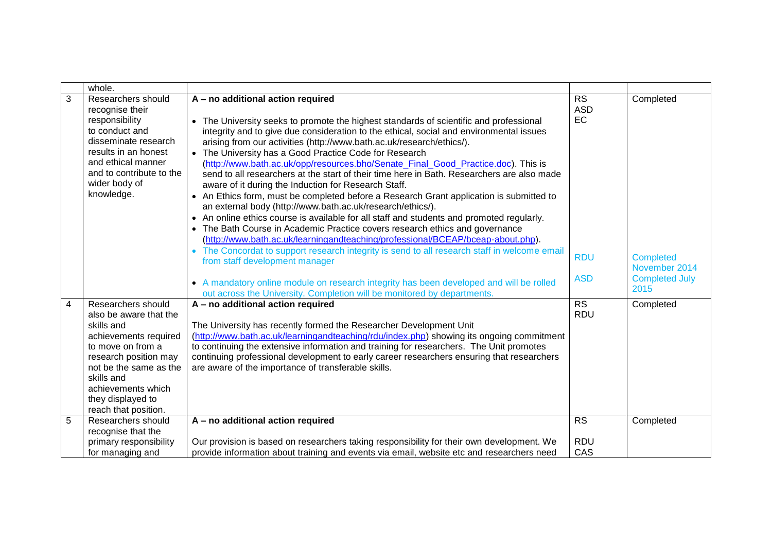|   | whole.                                                                                                                                                                                                                                       |                                                                                                                                                                                                                                                                                                                                                                                                                                                                                                                                                                                                                                                                                                                                                                                                                                                                                                                                                                                                                                                                                                                                                                                                                                                                                                                                                  |                                                           |                                                                                 |
|---|----------------------------------------------------------------------------------------------------------------------------------------------------------------------------------------------------------------------------------------------|--------------------------------------------------------------------------------------------------------------------------------------------------------------------------------------------------------------------------------------------------------------------------------------------------------------------------------------------------------------------------------------------------------------------------------------------------------------------------------------------------------------------------------------------------------------------------------------------------------------------------------------------------------------------------------------------------------------------------------------------------------------------------------------------------------------------------------------------------------------------------------------------------------------------------------------------------------------------------------------------------------------------------------------------------------------------------------------------------------------------------------------------------------------------------------------------------------------------------------------------------------------------------------------------------------------------------------------------------|-----------------------------------------------------------|---------------------------------------------------------------------------------|
| 3 | Researchers should<br>recognise their<br>responsibility<br>to conduct and<br>disseminate research<br>results in an honest<br>and ethical manner<br>and to contribute to the<br>wider body of<br>knowledge.                                   | A - no additional action required<br>• The University seeks to promote the highest standards of scientific and professional<br>integrity and to give due consideration to the ethical, social and environmental issues<br>arising from our activities (http://www.bath.ac.uk/research/ethics/).<br>• The University has a Good Practice Code for Research<br>(http://www.bath.ac.uk/opp/resources.bho/Senate_Final_Good_Practice.doc). This is<br>send to all researchers at the start of their time here in Bath. Researchers are also made<br>aware of it during the Induction for Research Staff.<br>• An Ethics form, must be completed before a Research Grant application is submitted to<br>an external body (http://www.bath.ac.uk/research/ethics/).<br>• An online ethics course is available for all staff and students and promoted regularly.<br>• The Bath Course in Academic Practice covers research ethics and governance<br>(http://www.bath.ac.uk/learningandteaching/professional/BCEAP/bceap-about.php).<br>The Concordat to support research integrity is send to all research staff in welcome email<br>$\bullet$<br>from staff development manager<br>• A mandatory online module on research integrity has been developed and will be rolled<br>out across the University. Completion will be monitored by departments. | <b>RS</b><br><b>ASD</b><br>EC<br><b>RDU</b><br><b>ASD</b> | Completed<br><b>Completed</b><br>November 2014<br><b>Completed July</b><br>2015 |
| 4 | Researchers should<br>also be aware that the<br>skills and<br>achievements required<br>to move on from a<br>research position may<br>not be the same as the<br>skills and<br>achievements which<br>they displayed to<br>reach that position. | A - no additional action required<br>The University has recently formed the Researcher Development Unit<br>(http://www.bath.ac.uk/learningandteaching/rdu/index.php) showing its ongoing commitment<br>to continuing the extensive information and training for researchers. The Unit promotes<br>continuing professional development to early career researchers ensuring that researchers<br>are aware of the importance of transferable skills.                                                                                                                                                                                                                                                                                                                                                                                                                                                                                                                                                                                                                                                                                                                                                                                                                                                                                               | <b>RS</b><br><b>RDU</b>                                   | Completed                                                                       |
| 5 | Researchers should                                                                                                                                                                                                                           | A - no additional action required                                                                                                                                                                                                                                                                                                                                                                                                                                                                                                                                                                                                                                                                                                                                                                                                                                                                                                                                                                                                                                                                                                                                                                                                                                                                                                                | $\overline{\text{RS}}$                                    | Completed                                                                       |
|   | recognise that the<br>primary responsibility<br>for managing and                                                                                                                                                                             | Our provision is based on researchers taking responsibility for their own development. We<br>provide information about training and events via email, website etc and researchers need                                                                                                                                                                                                                                                                                                                                                                                                                                                                                                                                                                                                                                                                                                                                                                                                                                                                                                                                                                                                                                                                                                                                                           | <b>RDU</b><br>CAS                                         |                                                                                 |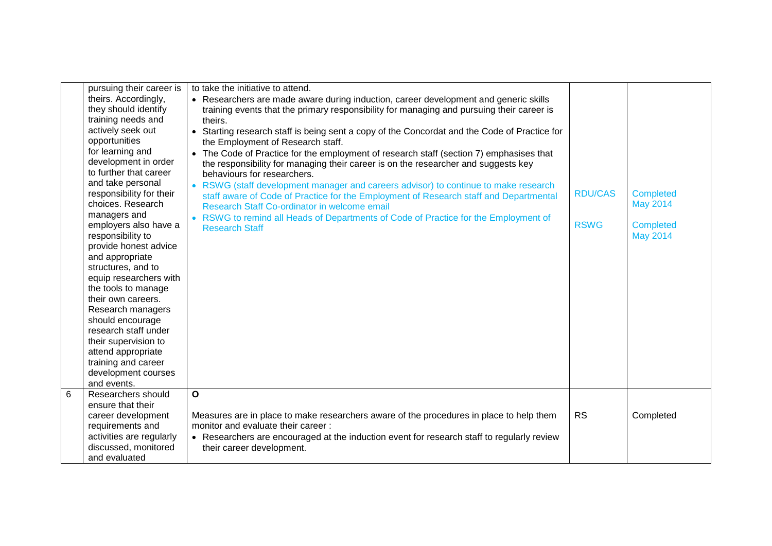|   | pursuing their career is<br>theirs. Accordingly,<br>they should identify<br>training needs and              | to take the initiative to attend.<br>• Researchers are made aware during induction, career development and generic skills<br>training events that the primary responsibility for managing and pursuing their career is<br>theirs.                                                                                                                 |                |                                     |
|---|-------------------------------------------------------------------------------------------------------------|---------------------------------------------------------------------------------------------------------------------------------------------------------------------------------------------------------------------------------------------------------------------------------------------------------------------------------------------------|----------------|-------------------------------------|
|   | actively seek out<br>opportunities<br>for learning and<br>development in order<br>to further that career    | • Starting research staff is being sent a copy of the Concordat and the Code of Practice for<br>the Employment of Research staff.<br>• The Code of Practice for the employment of research staff (section 7) emphasises that<br>the responsibility for managing their career is on the researcher and suggests key<br>behaviours for researchers. |                |                                     |
|   | and take personal<br>responsibility for their<br>choices. Research<br>managers and                          | • RSWG (staff development manager and careers advisor) to continue to make research<br>staff aware of Code of Practice for the Employment of Research staff and Departmental<br>Research Staff Co-ordinator in welcome email<br>• RSWG to remind all Heads of Departments of Code of Practice for the Employment of                               | <b>RDU/CAS</b> | <b>Completed</b><br><b>May 2014</b> |
|   | employers also have a<br>responsibility to<br>provide honest advice<br>and appropriate                      | <b>Research Staff</b>                                                                                                                                                                                                                                                                                                                             | <b>RSWG</b>    | <b>Completed</b><br><b>May 2014</b> |
|   | structures, and to<br>equip researchers with<br>the tools to manage<br>their own careers.                   |                                                                                                                                                                                                                                                                                                                                                   |                |                                     |
|   | Research managers<br>should encourage<br>research staff under<br>their supervision to                       |                                                                                                                                                                                                                                                                                                                                                   |                |                                     |
|   | attend appropriate<br>training and career<br>development courses<br>and events.                             |                                                                                                                                                                                                                                                                                                                                                   |                |                                     |
| 6 | Researchers should<br>ensure that their                                                                     | $\mathbf{o}$                                                                                                                                                                                                                                                                                                                                      |                |                                     |
|   | career development<br>requirements and<br>activities are regularly<br>discussed, monitored<br>and evaluated | Measures are in place to make researchers aware of the procedures in place to help them<br>monitor and evaluate their career:<br>• Researchers are encouraged at the induction event for research staff to regularly review<br>their career development.                                                                                          | <b>RS</b>      | Completed                           |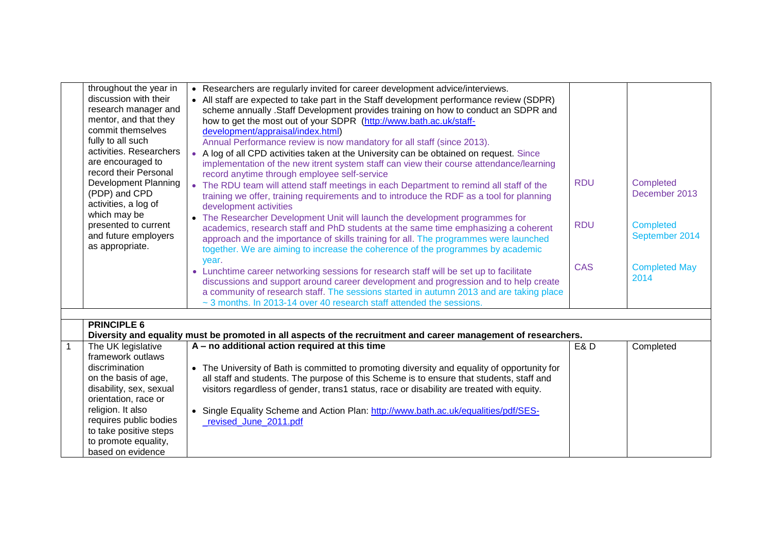|   | throughout the year in  | • Researchers are regularly invited for career development advice/interviews.                                   |            |                      |
|---|-------------------------|-----------------------------------------------------------------------------------------------------------------|------------|----------------------|
|   | discussion with their   | • All staff are expected to take part in the Staff development performance review (SDPR)                        |            |                      |
|   | research manager and    | scheme annually .Staff Development provides training on how to conduct an SDPR and                              |            |                      |
|   | mentor, and that they   | how to get the most out of your SDPR (http://www.bath.ac.uk/staff-                                              |            |                      |
|   | commit themselves       | development/appraisal/index.html)                                                                               |            |                      |
|   | fully to all such       | Annual Performance review is now mandatory for all staff (since 2013).                                          |            |                      |
|   | activities. Researchers | • A log of all CPD activities taken at the University can be obtained on request. Since                         |            |                      |
|   | are encouraged to       | implementation of the new itrent system staff can view their course attendance/learning                         |            |                      |
|   | record their Personal   | record anytime through employee self-service                                                                    |            |                      |
|   | Development Planning    | • The RDU team will attend staff meetings in each Department to remind all staff of the                         | <b>RDU</b> | Completed            |
|   | (PDP) and CPD           | training we offer, training requirements and to introduce the RDF as a tool for planning                        |            | December 2013        |
|   | activities, a log of    | development activities                                                                                          |            |                      |
|   | which may be            | The Researcher Development Unit will launch the development programmes for<br>$\bullet$                         |            |                      |
|   | presented to current    | academics, research staff and PhD students at the same time emphasizing a coherent                              | <b>RDU</b> | <b>Completed</b>     |
|   | and future employers    | approach and the importance of skills training for all. The programmes were launched                            |            | September 2014       |
|   | as appropriate.         | together. We are aiming to increase the coherence of the programmes by academic                                 |            |                      |
|   |                         | year.                                                                                                           |            |                      |
|   |                         | • Lunchtime career networking sessions for research staff will be set up to facilitate                          | <b>CAS</b> | <b>Completed May</b> |
|   |                         | discussions and support around career development and progression and to help create                            |            | 2014                 |
|   |                         | a community of research staff. The sessions started in autumn 2013 and are taking place                         |            |                      |
|   |                         | ~ 3 months. In 2013-14 over 40 research staff attended the sessions.                                            |            |                      |
|   |                         |                                                                                                                 |            |                      |
|   | <b>PRINCIPLE 6</b>      |                                                                                                                 |            |                      |
|   |                         | Diversity and equality must be promoted in all aspects of the recruitment and career management of researchers. |            |                      |
| 1 | The UK legislative      | A - no additional action required at this time                                                                  | E&D        | Completed            |
|   | framework outlaws       |                                                                                                                 |            |                      |
|   | discrimination          | The University of Bath is committed to promoting diversity and equality of opportunity for<br>$\bullet$         |            |                      |
|   | on the basis of age,    | all staff and students. The purpose of this Scheme is to ensure that students, staff and                        |            |                      |
|   | disability, sex, sexual | visitors regardless of gender, trans1 status, race or disability are treated with equity.                       |            |                      |
|   | orientation, race or    |                                                                                                                 |            |                      |
|   | religion. It also       | Single Equality Scheme and Action Plan: http://www.bath.ac.uk/equalities/pdf/SES-<br>$\bullet$                  |            |                      |
|   | requires public bodies  | revised_June_2011.pdf                                                                                           |            |                      |
|   | to take positive steps  |                                                                                                                 |            |                      |
|   | to promote equality,    |                                                                                                                 |            |                      |
|   | based on evidence       |                                                                                                                 |            |                      |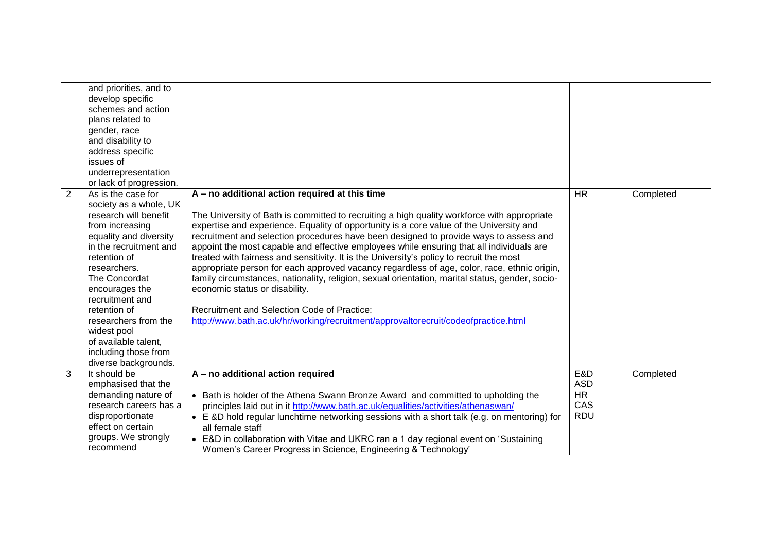|                | and priorities, and to<br>develop specific<br>schemes and action<br>plans related to<br>gender, race<br>and disability to<br>address specific<br>issues of<br>underrepresentation                                                                                                                                                                                 |                                                                                                                                                                                                                                                                                                                                                                                                                                                                                                                                                                                                                                                                                                                                                                                                                                                                                                    |                                                     |           |
|----------------|-------------------------------------------------------------------------------------------------------------------------------------------------------------------------------------------------------------------------------------------------------------------------------------------------------------------------------------------------------------------|----------------------------------------------------------------------------------------------------------------------------------------------------------------------------------------------------------------------------------------------------------------------------------------------------------------------------------------------------------------------------------------------------------------------------------------------------------------------------------------------------------------------------------------------------------------------------------------------------------------------------------------------------------------------------------------------------------------------------------------------------------------------------------------------------------------------------------------------------------------------------------------------------|-----------------------------------------------------|-----------|
|                | or lack of progression.                                                                                                                                                                                                                                                                                                                                           |                                                                                                                                                                                                                                                                                                                                                                                                                                                                                                                                                                                                                                                                                                                                                                                                                                                                                                    |                                                     |           |
| $\overline{2}$ | As is the case for<br>society as a whole, UK<br>research will benefit<br>from increasing<br>equality and diversity<br>in the recruitment and<br>retention of<br>researchers.<br>The Concordat<br>encourages the<br>recruitment and<br>retention of<br>researchers from the<br>widest pool<br>of available talent,<br>including those from<br>diverse backgrounds. | A - no additional action required at this time<br>The University of Bath is committed to recruiting a high quality workforce with appropriate<br>expertise and experience. Equality of opportunity is a core value of the University and<br>recruitment and selection procedures have been designed to provide ways to assess and<br>appoint the most capable and effective employees while ensuring that all individuals are<br>treated with fairness and sensitivity. It is the University's policy to recruit the most<br>appropriate person for each approved vacancy regardless of age, color, race, ethnic origin,<br>family circumstances, nationality, religion, sexual orientation, marital status, gender, socio-<br>economic status or disability.<br>Recruitment and Selection Code of Practice:<br>http://www.bath.ac.uk/hr/working/recruitment/approvaltorecruit/codeofpractice.html | <b>HR</b>                                           | Completed |
| 3              | It should be<br>emphasised that the<br>demanding nature of<br>research careers has a<br>disproportionate<br>effect on certain<br>groups. We strongly<br>recommend                                                                                                                                                                                                 | A - no additional action required<br>• Bath is holder of the Athena Swann Bronze Award and committed to upholding the<br>principles laid out in it http://www.bath.ac.uk/equalities/activities/athenaswan/<br>• E &D hold regular lunchtime networking sessions with a short talk (e.g. on mentoring) for<br>all female staff<br>E&D in collaboration with Vitae and UKRC ran a 1 day regional event on 'Sustaining<br>Women's Career Progress in Science, Engineering & Technology'                                                                                                                                                                                                                                                                                                                                                                                                               | E&D<br><b>ASD</b><br><b>HR</b><br>CAS<br><b>RDU</b> | Completed |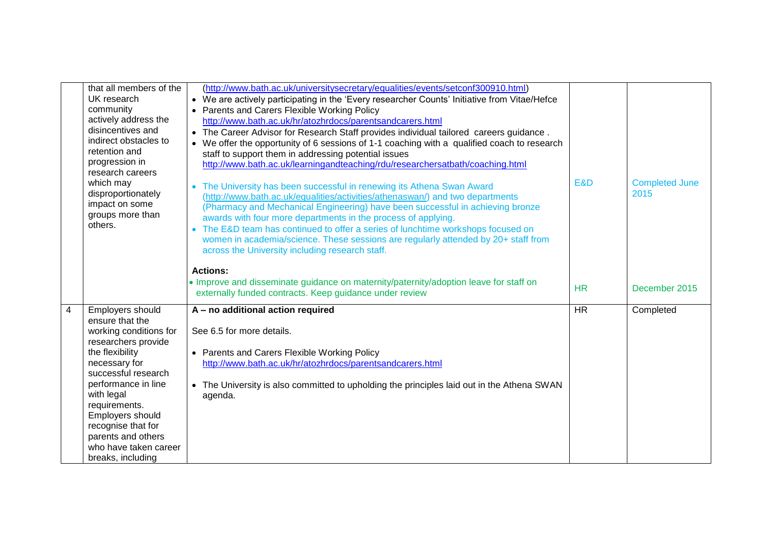|                         | that all members of the<br>UK research<br>community<br>actively address the<br>disincentives and<br>indirect obstacles to<br>retention and<br>progression in<br>research careers<br>which may<br>disproportionately<br>impact on some<br>groups more than<br>others.                                                | (http://www.bath.ac.uk/universitysecretary/equalities/events/setconf300910.html)<br>• We are actively participating in the 'Every researcher Counts' Initiative from Vitae/Hefce<br>• Parents and Carers Flexible Working Policy<br>http://www.bath.ac.uk/hr/atozhrdocs/parentsandcarers.html<br>. The Career Advisor for Research Staff provides individual tailored careers guidance.<br>• We offer the opportunity of 6 sessions of 1-1 coaching with a qualified coach to research<br>staff to support them in addressing potential issues<br>http://www.bath.ac.uk/learningandteaching/rdu/researchersatbath/coaching.html<br>• The University has been successful in renewing its Athena Swan Award<br>(http://www.bath.ac.uk/equalities/activities/athenaswan/) and two departments<br>(Pharmacy and Mechanical Engineering) have been successful in achieving bronze<br>awards with four more departments in the process of applying.<br>• The E&D team has continued to offer a series of lunchtime workshops focused on<br>women in academia/science. These sessions are regularly attended by 20+ staff from<br>across the University including research staff. | E&D       | <b>Completed June</b><br>2015 |
|-------------------------|---------------------------------------------------------------------------------------------------------------------------------------------------------------------------------------------------------------------------------------------------------------------------------------------------------------------|----------------------------------------------------------------------------------------------------------------------------------------------------------------------------------------------------------------------------------------------------------------------------------------------------------------------------------------------------------------------------------------------------------------------------------------------------------------------------------------------------------------------------------------------------------------------------------------------------------------------------------------------------------------------------------------------------------------------------------------------------------------------------------------------------------------------------------------------------------------------------------------------------------------------------------------------------------------------------------------------------------------------------------------------------------------------------------------------------------------------------------------------------------------------------|-----------|-------------------------------|
|                         |                                                                                                                                                                                                                                                                                                                     | <b>Actions:</b><br>• Improve and disseminate guidance on maternity/paternity/adoption leave for staff on<br>externally funded contracts. Keep guidance under review                                                                                                                                                                                                                                                                                                                                                                                                                                                                                                                                                                                                                                                                                                                                                                                                                                                                                                                                                                                                        | <b>HR</b> | December 2015                 |
| $\overline{\mathbf{4}}$ | Employers should<br>ensure that the<br>working conditions for<br>researchers provide<br>the flexibility<br>necessary for<br>successful research<br>performance in line<br>with legal<br>requirements.<br>Employers should<br>recognise that for<br>parents and others<br>who have taken career<br>breaks, including | A - no additional action required<br>See 6.5 for more details.<br>• Parents and Carers Flexible Working Policy<br>http://www.bath.ac.uk/hr/atozhrdocs/parentsandcarers.html<br>• The University is also committed to upholding the principles laid out in the Athena SWAN<br>agenda.                                                                                                                                                                                                                                                                                                                                                                                                                                                                                                                                                                                                                                                                                                                                                                                                                                                                                       | <b>HR</b> | Completed                     |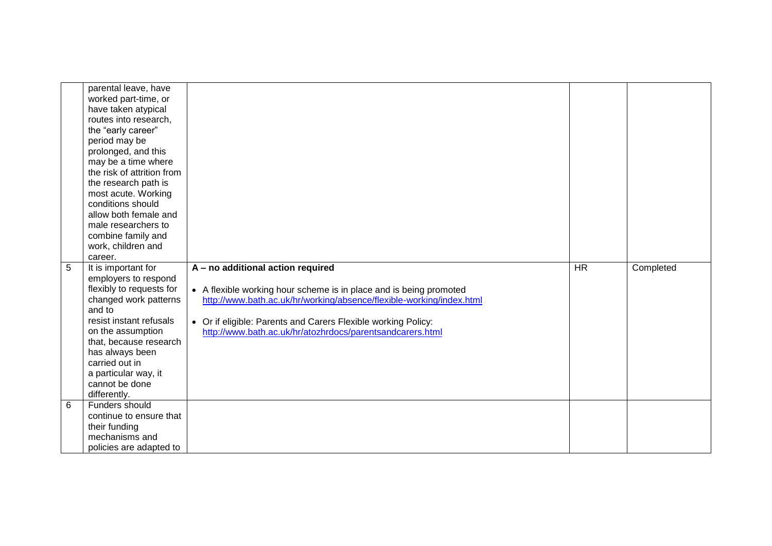|   | parental leave, have<br>worked part-time, or<br>have taken atypical<br>routes into research,<br>the "early career"<br>period may be<br>prolonged, and this<br>may be a time where<br>the risk of attrition from<br>the research path is<br>most acute. Working<br>conditions should<br>allow both female and<br>male researchers to<br>combine family and<br>work, children and<br>career. |                                                                                                                                                                                                                                                                                                               |           |           |
|---|--------------------------------------------------------------------------------------------------------------------------------------------------------------------------------------------------------------------------------------------------------------------------------------------------------------------------------------------------------------------------------------------|---------------------------------------------------------------------------------------------------------------------------------------------------------------------------------------------------------------------------------------------------------------------------------------------------------------|-----------|-----------|
| 5 | It is important for<br>employers to respond<br>flexibly to requests for<br>changed work patterns<br>and to<br>resist instant refusals<br>on the assumption<br>that, because research<br>has always been<br>carried out in<br>a particular way, it<br>cannot be done<br>differently.                                                                                                        | A - no additional action required<br>• A flexible working hour scheme is in place and is being promoted<br>http://www.bath.ac.uk/hr/working/absence/flexible-working/index.html<br>• Or if eligible: Parents and Carers Flexible working Policy:<br>http://www.bath.ac.uk/hr/atozhrdocs/parentsandcarers.html | <b>HR</b> | Completed |
| 6 | Funders should<br>continue to ensure that<br>their funding<br>mechanisms and<br>policies are adapted to                                                                                                                                                                                                                                                                                    |                                                                                                                                                                                                                                                                                                               |           |           |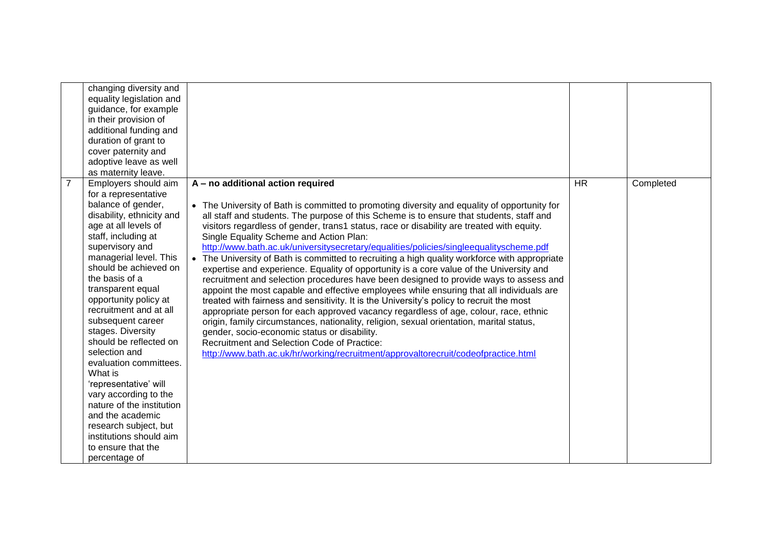|                | changing diversity and    |                                                                                              |           |           |
|----------------|---------------------------|----------------------------------------------------------------------------------------------|-----------|-----------|
|                | equality legislation and  |                                                                                              |           |           |
|                | guidance, for example     |                                                                                              |           |           |
|                | in their provision of     |                                                                                              |           |           |
|                | additional funding and    |                                                                                              |           |           |
|                | duration of grant to      |                                                                                              |           |           |
|                | cover paternity and       |                                                                                              |           |           |
|                | adoptive leave as well    |                                                                                              |           |           |
|                | as maternity leave.       |                                                                                              |           |           |
| $\overline{7}$ | Employers should aim      | A - no additional action required                                                            | <b>HR</b> | Completed |
|                | for a representative      |                                                                                              |           |           |
|                | balance of gender,        | • The University of Bath is committed to promoting diversity and equality of opportunity for |           |           |
|                | disability, ethnicity and | all staff and students. The purpose of this Scheme is to ensure that students, staff and     |           |           |
|                | age at all levels of      | visitors regardless of gender, trans1 status, race or disability are treated with equity.    |           |           |
|                | staff, including at       | Single Equality Scheme and Action Plan:                                                      |           |           |
|                | supervisory and           | http://www.bath.ac.uk/universitysecretary/equalities/policies/singleequalityscheme.pdf       |           |           |
|                | managerial level. This    | The University of Bath is committed to recruiting a high quality workforce with appropriate  |           |           |
|                | should be achieved on     | expertise and experience. Equality of opportunity is a core value of the University and      |           |           |
|                | the basis of a            | recruitment and selection procedures have been designed to provide ways to assess and        |           |           |
|                | transparent equal         | appoint the most capable and effective employees while ensuring that all individuals are     |           |           |
|                | opportunity policy at     | treated with fairness and sensitivity. It is the University's policy to recruit the most     |           |           |
|                | recruitment and at all    | appropriate person for each approved vacancy regardless of age, colour, race, ethnic         |           |           |
|                | subsequent career         | origin, family circumstances, nationality, religion, sexual orientation, marital status,     |           |           |
|                | stages. Diversity         | gender, socio-economic status or disability.                                                 |           |           |
|                | should be reflected on    | Recruitment and Selection Code of Practice:                                                  |           |           |
|                | selection and             | http://www.bath.ac.uk/hr/working/recruitment/approvaltorecruit/codeofpractice.html           |           |           |
|                | evaluation committees.    |                                                                                              |           |           |
|                | What is                   |                                                                                              |           |           |
|                | 'representative' will     |                                                                                              |           |           |
|                | vary according to the     |                                                                                              |           |           |
|                | nature of the institution |                                                                                              |           |           |
|                | and the academic          |                                                                                              |           |           |
|                | research subject, but     |                                                                                              |           |           |
|                | institutions should aim   |                                                                                              |           |           |
|                | to ensure that the        |                                                                                              |           |           |
|                | percentage of             |                                                                                              |           |           |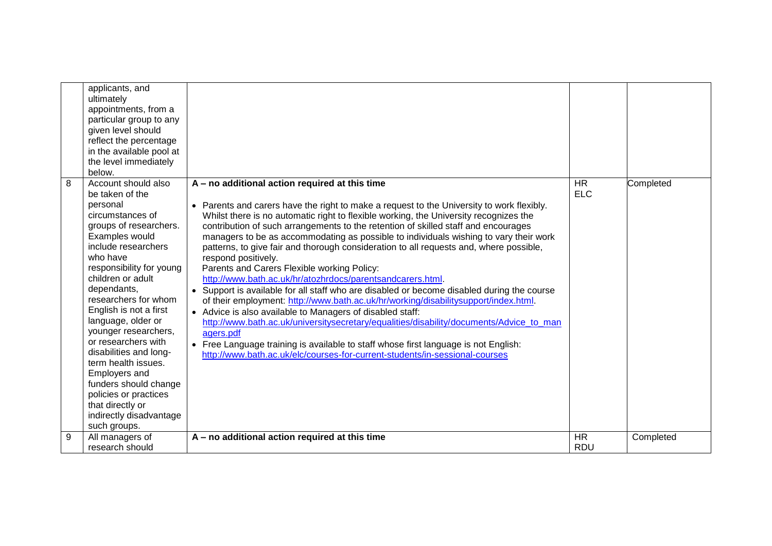|   | applicants, and<br>ultimately<br>appointments, from a<br>particular group to any<br>given level should<br>reflect the percentage<br>in the available pool at<br>the level immediately<br>below.                                                                                                                                                                                                                                                                                                                                 |                                                                                                                                                                                                                                                                                                                                                                                                                                                                                                                                                                                                                                                                                                                                                                                                                                                                                                                                                                                                                                                                                                                                                                                              |                         |           |
|---|---------------------------------------------------------------------------------------------------------------------------------------------------------------------------------------------------------------------------------------------------------------------------------------------------------------------------------------------------------------------------------------------------------------------------------------------------------------------------------------------------------------------------------|----------------------------------------------------------------------------------------------------------------------------------------------------------------------------------------------------------------------------------------------------------------------------------------------------------------------------------------------------------------------------------------------------------------------------------------------------------------------------------------------------------------------------------------------------------------------------------------------------------------------------------------------------------------------------------------------------------------------------------------------------------------------------------------------------------------------------------------------------------------------------------------------------------------------------------------------------------------------------------------------------------------------------------------------------------------------------------------------------------------------------------------------------------------------------------------------|-------------------------|-----------|
| 8 | Account should also<br>be taken of the<br>personal<br>circumstances of<br>groups of researchers.<br>Examples would<br>include researchers<br>who have<br>responsibility for young<br>children or adult<br>dependants,<br>researchers for whom<br>English is not a first<br>language, older or<br>younger researchers,<br>or researchers with<br>disabilities and long-<br>term health issues.<br>Employers and<br>funders should change<br>policies or practices<br>that directly or<br>indirectly disadvantage<br>such groups. | A - no additional action required at this time<br>Parents and carers have the right to make a request to the University to work flexibly.<br>$\bullet$<br>Whilst there is no automatic right to flexible working, the University recognizes the<br>contribution of such arrangements to the retention of skilled staff and encourages<br>managers to be as accommodating as possible to individuals wishing to vary their work<br>patterns, to give fair and thorough consideration to all requests and, where possible,<br>respond positively.<br>Parents and Carers Flexible working Policy:<br>http://www.bath.ac.uk/hr/atozhrdocs/parentsandcarers.html.<br>• Support is available for all staff who are disabled or become disabled during the course<br>of their employment: http://www.bath.ac.uk/hr/working/disabilitysupport/index.html.<br>• Advice is also available to Managers of disabled staff:<br>http://www.bath.ac.uk/universitysecretary/equalities/disability/documents/Advice to man<br>agers.pdf<br>• Free Language training is available to staff whose first language is not English:<br>http://www.bath.ac.uk/elc/courses-for-current-students/in-sessional-courses | <b>HR</b><br><b>ELC</b> | Completed |
| 9 | All managers of<br>research should                                                                                                                                                                                                                                                                                                                                                                                                                                                                                              | A - no additional action required at this time                                                                                                                                                                                                                                                                                                                                                                                                                                                                                                                                                                                                                                                                                                                                                                                                                                                                                                                                                                                                                                                                                                                                               | <b>HR</b><br><b>RDU</b> | Completed |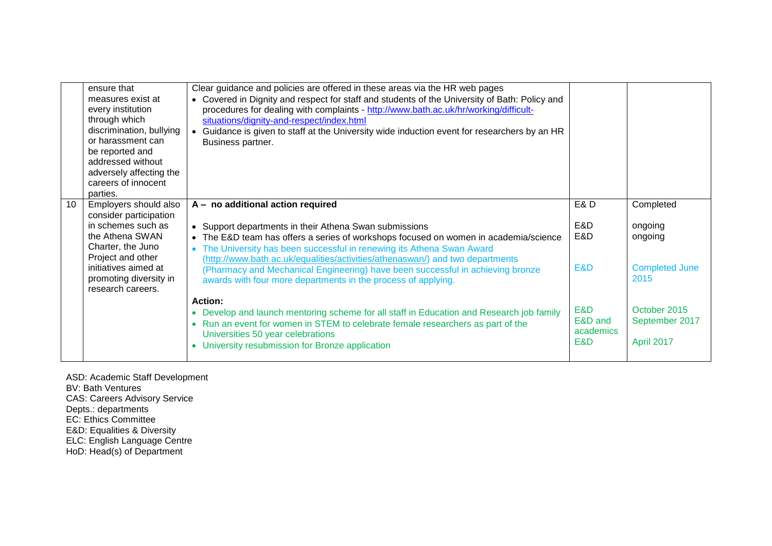| ensure that                 | Clear guidance and policies are offered in these areas via the HR web pages                   |                |                       |
|-----------------------------|-----------------------------------------------------------------------------------------------|----------------|-----------------------|
| measures exist at           | • Covered in Dignity and respect for staff and students of the University of Bath: Policy and |                |                       |
| every institution           | procedures for dealing with complaints - http://www.bath.ac.uk/hr/working/difficult-          |                |                       |
| through which               | situations/dignity-and-respect/index.html                                                     |                |                       |
| discrimination, bullying    | Guidance is given to staff at the University wide induction event for researchers by an HR    |                |                       |
| or harassment can           | Business partner.                                                                             |                |                       |
| be reported and             |                                                                                               |                |                       |
| addressed without           |                                                                                               |                |                       |
| adversely affecting the     |                                                                                               |                |                       |
| careers of innocent         |                                                                                               |                |                       |
| parties.                    |                                                                                               |                |                       |
| 10<br>Employers should also | A - no additional action required                                                             | <b>E&amp;D</b> | Completed             |
| consider participation      |                                                                                               |                |                       |
| in schemes such as          | • Support departments in their Athena Swan submissions                                        | E&D            | ongoing               |
| the Athena SWAN             | The E&D team has offers a series of workshops focused on women in academia/science            | E&D            | ongoing               |
| Charter, the Juno           | The University has been successful in renewing its Athena Swan Award                          |                |                       |
| Project and other           | (http://www.bath.ac.uk/equalities/activities/athenaswan/) and two departments                 |                |                       |
| initiatives aimed at        | (Pharmacy and Mechanical Engineering) have been successful in achieving bronze                | E&D            | <b>Completed June</b> |
| promoting diversity in      | awards with four more departments in the process of applying.                                 |                | 2015                  |
| research careers.           |                                                                                               |                |                       |
|                             | <b>Action:</b>                                                                                |                |                       |
|                             | Develop and launch mentoring scheme for all staff in Education and Research job family        | E&D            | October 2015          |
|                             | Run an event for women in STEM to celebrate female researchers as part of the                 | E&D and        | September 2017        |
|                             | Universities 50 year celebrations                                                             | academics      |                       |
|                             | University resubmission for Bronze application                                                | E&D            | April 2017            |
|                             |                                                                                               |                |                       |
|                             |                                                                                               |                |                       |

ASD: Academic Staff Development BV: Bath Ventures CAS: Careers Advisory Service Depts.: departments EC: Ethics Committee E&D: Equalities & Diversity ELC: English Language Centre HoD: Head(s) of Department